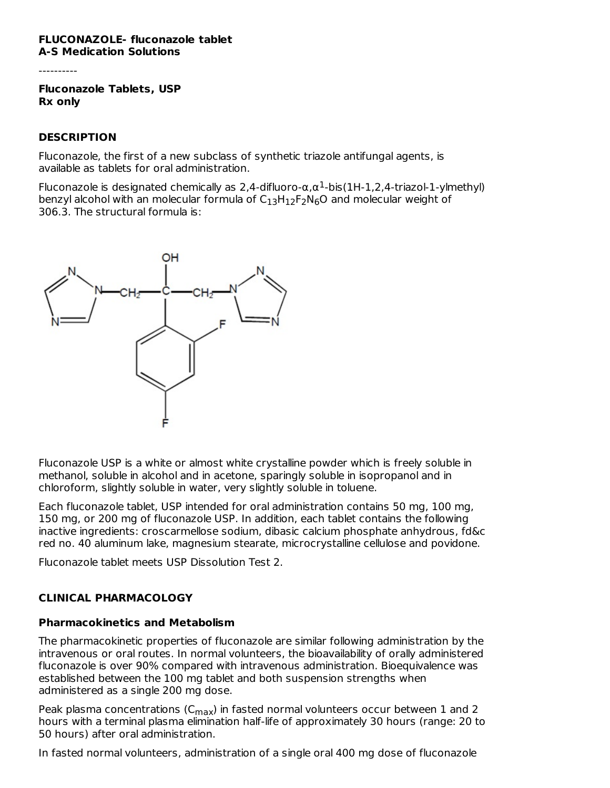#### **FLUCONAZOLE- fluconazole tablet A-S Medication Solutions**

----------

**Fluconazole Tablets, USP Rx only**

### **DESCRIPTION**

Fluconazole, the first of a new subclass of synthetic triazole antifungal agents, is available as tablets for oral administration.

Fluconazole is designated chemically as 2,4-difluoro- $\alpha, \alpha^1$ -bis(1H-1,2,4-triazol-1-ylmethyl) benzyl alcohol with an molecular formula of  $\mathsf{C}_{13}\mathsf{H}_{12}\mathsf{F}_2\mathsf{N}_6\mathsf{O}$  and molecular weight of 306.3. The structural formula is:



Fluconazole USP is a white or almost white crystalline powder which is freely soluble in methanol, soluble in alcohol and in acetone, sparingly soluble in isopropanol and in chloroform, slightly soluble in water, very slightly soluble in toluene.

Each fluconazole tablet, USP intended for oral administration contains 50 mg, 100 mg, 150 mg, or 200 mg of fluconazole USP. In addition, each tablet contains the following inactive ingredients: croscarmellose sodium, dibasic calcium phosphate anhydrous, fd&c red no. 40 aluminum lake, magnesium stearate, microcrystalline cellulose and povidone.

Fluconazole tablet meets USP Dissolution Test 2.

### **CLINICAL PHARMACOLOGY**

### **Pharmacokinetics and Metabolism**

The pharmacokinetic properties of fluconazole are similar following administration by the intravenous or oral routes. In normal volunteers, the bioavailability of orally administered fluconazole is over 90% compared with intravenous administration. Bioequivalence was established between the 100 mg tablet and both suspension strengths when administered as a single 200 mg dose.

Peak plasma concentrations (C $_{\sf max}$ ) in fasted normal volunteers occur between 1 and 2 hours with a terminal plasma elimination half-life of approximately 30 hours (range: 20 to 50 hours) after oral administration.

In fasted normal volunteers, administration of a single oral 400 mg dose of fluconazole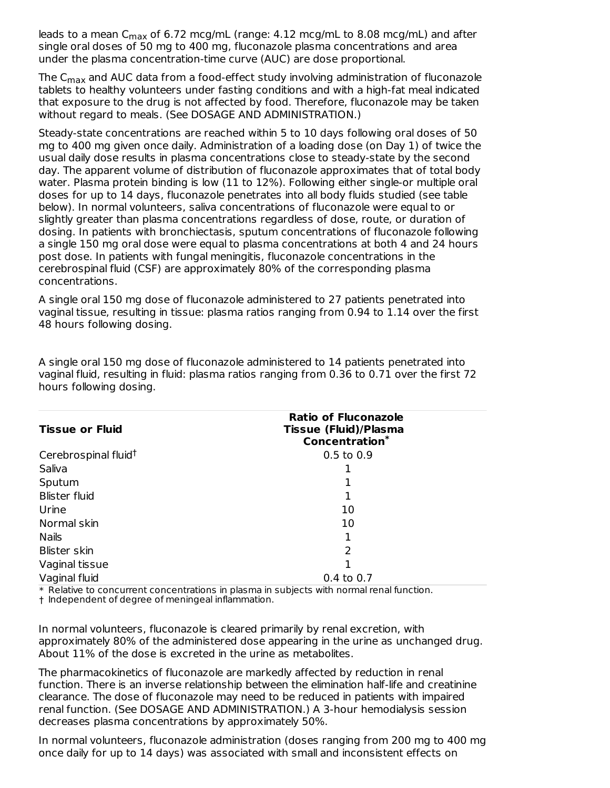leads to a mean C<sub>max</sub> of 6.72 mcg/mL (range: 4.12 mcg/mL to 8.08 mcg/mL) and after single oral doses of 50 mg to 400 mg, fluconazole plasma concentrations and area under the plasma concentration-time curve (AUC) are dose proportional.

The C $_{\sf max}$  and AUC data from a food-effect study involving administration of fluconazole tablets to healthy volunteers under fasting conditions and with a high-fat meal indicated that exposure to the drug is not affected by food. Therefore, fluconazole may be taken without regard to meals. (See DOSAGE AND ADMINISTRATION.)

Steady-state concentrations are reached within 5 to 10 days following oral doses of 50 mg to 400 mg given once daily. Administration of a loading dose (on Day 1) of twice the usual daily dose results in plasma concentrations close to steady-state by the second day. The apparent volume of distribution of fluconazole approximates that of total body water. Plasma protein binding is low (11 to 12%). Following either single-or multiple oral doses for up to 14 days, fluconazole penetrates into all body fluids studied (see table below). In normal volunteers, saliva concentrations of fluconazole were equal to or slightly greater than plasma concentrations regardless of dose, route, or duration of dosing. In patients with bronchiectasis, sputum concentrations of fluconazole following a single 150 mg oral dose were equal to plasma concentrations at both 4 and 24 hours post dose. In patients with fungal meningitis, fluconazole concentrations in the cerebrospinal fluid (CSF) are approximately 80% of the corresponding plasma concentrations.

A single oral 150 mg dose of fluconazole administered to 27 patients penetrated into vaginal tissue, resulting in tissue: plasma ratios ranging from 0.94 to 1.14 over the first 48 hours following dosing.

| <b>Tissue or Fluid</b>           | <b>Ratio of Fluconazole</b><br><b>Tissue (Fluid)/Plasma</b> |
|----------------------------------|-------------------------------------------------------------|
|                                  | <b>Concentration*</b>                                       |
| Cerebrospinal fluid <sup>†</sup> | $0.5$ to $0.9$                                              |
| Saliva                           |                                                             |
| Sputum                           |                                                             |
| <b>Blister fluid</b>             |                                                             |
| Urine                            | 10                                                          |
| Normal skin                      | 10                                                          |
| <b>Nails</b>                     |                                                             |
| <b>Blister skin</b>              | 2                                                           |
| Vaginal tissue                   |                                                             |
| Vaginal fluid                    | 0.4 to 0.7                                                  |

A single oral 150 mg dose of fluconazole administered to 14 patients penetrated into vaginal fluid, resulting in fluid: plasma ratios ranging from 0.36 to 0.71 over the first 72 hours following dosing.

\* Relative to concurrent concentrations in plasma in subjects with normal renal function.

† Independent of degree of meningeal inflammation.

In normal volunteers, fluconazole is cleared primarily by renal excretion, with approximately 80% of the administered dose appearing in the urine as unchanged drug. About 11% of the dose is excreted in the urine as metabolites.

The pharmacokinetics of fluconazole are markedly affected by reduction in renal function. There is an inverse relationship between the elimination half-life and creatinine clearance. The dose of fluconazole may need to be reduced in patients with impaired renal function. (See DOSAGE AND ADMINISTRATION.) A 3-hour hemodialysis session decreases plasma concentrations by approximately 50%.

In normal volunteers, fluconazole administration (doses ranging from 200 mg to 400 mg once daily for up to 14 days) was associated with small and inconsistent effects on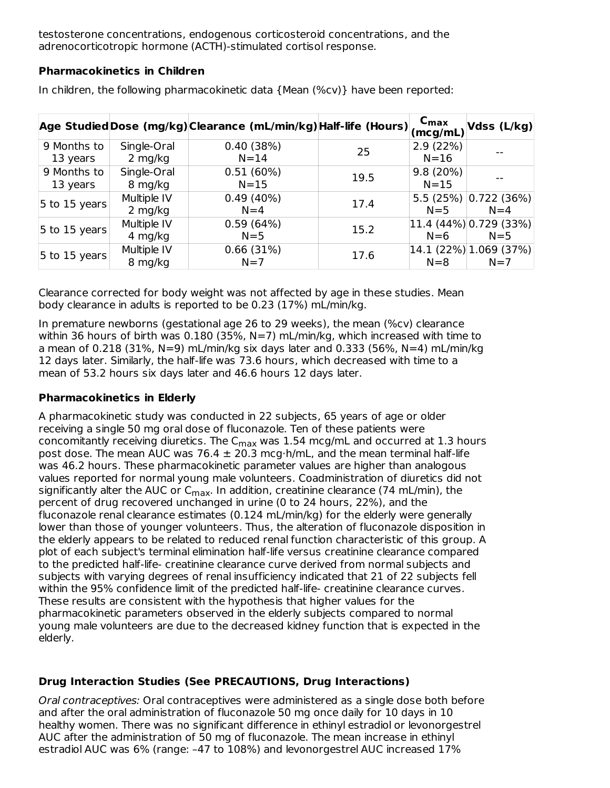testosterone concentrations, endogenous corticosteroid concentrations, and the adrenocorticotropic hormone (ACTH)-stimulated cortisol response.

#### **Pharmacokinetics in Children**

|                         |                          | Age Studied Dose (mg/kg) Clearance (mL/min/kg) Half-life (Hours) |      | $C_{\text{max}}$<br>(mcg/mL) | Vdss (L/kg)                           |
|-------------------------|--------------------------|------------------------------------------------------------------|------|------------------------------|---------------------------------------|
| 9 Months to<br>13 years | Single-Oral<br>$2$ mg/kg | 0.40(38%)<br>$N = 14$                                            | 25   | 2.9(22%)<br>$N=16$           |                                       |
| 9 Months to<br>13 years | Single-Oral<br>8 mg/kg   | 0.51(60%)<br>$N=15$                                              | 19.5 | 9.8(20%)<br>$N = 15$         |                                       |
| $ 5$ to 15 years        | Multiple IV<br>$2$ mg/kg | $0.49(40\%)$<br>$N=4$                                            | 17.4 | $N=5$                        | 5.5 (25%) $ 0.722$ (36%)<br>$N=4$     |
| 5 to 15 years           | Multiple IV<br>4 mg/kg   | 0.59(64%)<br>$N=5$                                               | 15.2 | $N=6$                        | $ 11.4 (44\%) 0.729 (33\%) $<br>$N=5$ |
| $5$ to 15 years         | Multiple IV<br>8 mg/kg   | 0.66(31%)<br>$N=7$                                               | 17.6 | $N=8$                        | $ 14.1 (22\%) 1.069 (37\%)$<br>$N=7$  |

In children, the following pharmacokinetic data {Mean (%cv)} have been reported:

Clearance corrected for body weight was not affected by age in these studies. Mean body clearance in adults is reported to be 0.23 (17%) mL/min/kg.

In premature newborns (gestational age 26 to 29 weeks), the mean (%cv) clearance within 36 hours of birth was 0.180 (35%, N=7) mL/min/kg, which increased with time to a mean of 0.218 (31%, N=9) mL/min/kg six days later and 0.333 (56%, N=4) mL/min/kg 12 days later. Similarly, the half-life was 73.6 hours, which decreased with time to a mean of 53.2 hours six days later and 46.6 hours 12 days later.

### **Pharmacokinetics in Elderly**

A pharmacokinetic study was conducted in 22 subjects, 65 years of age or older receiving a single 50 mg oral dose of fluconazole. Ten of these patients were concomitantly receiving diuretics. The C<sub>max</sub> was  $1.54$  mcg/mL and occurred at  $1.3$  hours post dose. The mean AUC was 76.4  $\pm$  20.3 mcg⋅h/mL, and the mean terminal half-life was 46.2 hours. These pharmacokinetic parameter values are higher than analogous values reported for normal young male volunteers. Coadministration of diuretics did not significantly alter the AUC or C<sub>max</sub>. In addition, creatinine clearance (74 mL/min), the percent of drug recovered unchanged in urine (0 to 24 hours, 22%), and the fluconazole renal clearance estimates (0.124 mL/min/kg) for the elderly were generally lower than those of younger volunteers. Thus, the alteration of fluconazole disposition in the elderly appears to be related to reduced renal function characteristic of this group. A plot of each subject's terminal elimination half-life versus creatinine clearance compared to the predicted half-life- creatinine clearance curve derived from normal subjects and subjects with varying degrees of renal insufficiency indicated that 21 of 22 subjects fell within the 95% confidence limit of the predicted half-life- creatinine clearance curves. These results are consistent with the hypothesis that higher values for the pharmacokinetic parameters observed in the elderly subjects compared to normal young male volunteers are due to the decreased kidney function that is expected in the elderly.

# **Drug Interaction Studies (See PRECAUTIONS, Drug Interactions)**

Oral contraceptives: Oral contraceptives were administered as a single dose both before and after the oral administration of fluconazole 50 mg once daily for 10 days in 10 healthy women. There was no significant difference in ethinyl estradiol or levonorgestrel AUC after the administration of 50 mg of fluconazole. The mean increase in ethinyl estradiol AUC was 6% (range: –47 to 108%) and levonorgestrel AUC increased 17%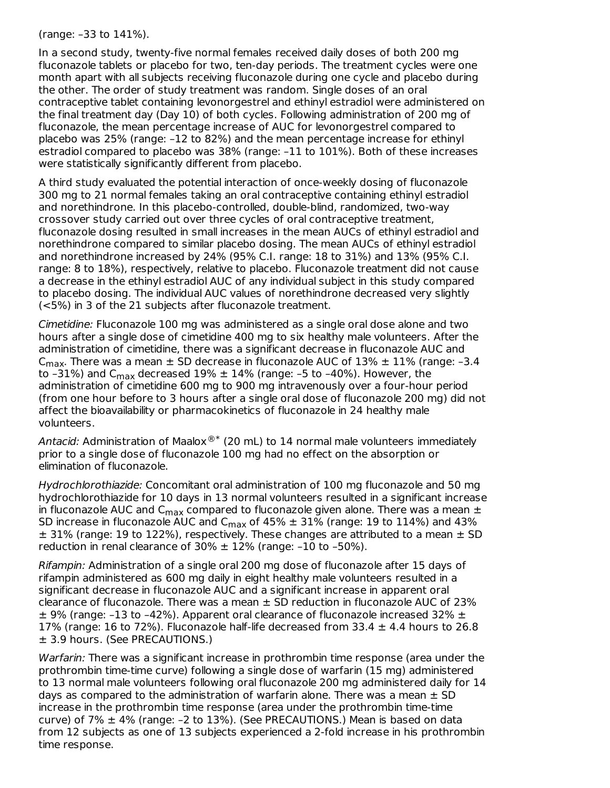(range: –33 to 141%).

In a second study, twenty-five normal females received daily doses of both 200 mg fluconazole tablets or placebo for two, ten-day periods. The treatment cycles were one month apart with all subjects receiving fluconazole during one cycle and placebo during the other. The order of study treatment was random. Single doses of an oral contraceptive tablet containing levonorgestrel and ethinyl estradiol were administered on the final treatment day (Day 10) of both cycles. Following administration of 200 mg of fluconazole, the mean percentage increase of AUC for levonorgestrel compared to placebo was 25% (range: –12 to 82%) and the mean percentage increase for ethinyl estradiol compared to placebo was 38% (range: –11 to 101%). Both of these increases were statistically significantly different from placebo.

A third study evaluated the potential interaction of once-weekly dosing of fluconazole 300 mg to 21 normal females taking an oral contraceptive containing ethinyl estradiol and norethindrone. In this placebo-controlled, double-blind, randomized, two-way crossover study carried out over three cycles of oral contraceptive treatment, fluconazole dosing resulted in small increases in the mean AUCs of ethinyl estradiol and norethindrone compared to similar placebo dosing. The mean AUCs of ethinyl estradiol and norethindrone increased by 24% (95% C.I. range: 18 to 31%) and 13% (95% C.I. range: 8 to 18%), respectively, relative to placebo. Fluconazole treatment did not cause a decrease in the ethinyl estradiol AUC of any individual subject in this study compared to placebo dosing. The individual AUC values of norethindrone decreased very slightly (<5%) in 3 of the 21 subjects after fluconazole treatment.

Cimetidine: Fluconazole 100 mg was administered as a single oral dose alone and two hours after a single dose of cimetidine 400 mg to six healthy male volunteers. After the administration of cimetidine, there was a significant decrease in fluconazole AUC and C<sub>max</sub>. There was a mean  $\pm$  SD decrease in fluconazole AUC of  $13\% \pm 11\%$  (range: -3.4 to -31%) and C<sub>max</sub> decreased 19%  $\pm$  14% (range: -5 to -40%). However, the administration of cimetidine 600 mg to 900 mg intravenously over a four-hour period (from one hour before to 3 hours after a single oral dose of fluconazole 200 mg) did not affect the bioavailability or pharmacokinetics of fluconazole in 24 healthy male volunteers.

Antacid: Administration of Maalox $^{\circledR^*}$  (20 mL) to 14 normal male volunteers immediately prior to a single dose of fluconazole 100 mg had no effect on the absorption or elimination of fluconazole.

Hydrochlorothiazide: Concomitant oral administration of 100 mg fluconazole and 50 mg hydrochlorothiazide for 10 days in 13 normal volunteers resulted in a significant increase in fluconazole AUC and  $\mathsf{C}_{\mathsf{max}}$  compared to fluconazole given alone. There was a mean  $\pm$ SD increase in fluconazole AUC and C<sub>max</sub> of 45%  $\pm$  31% (range: 19 to 114%) and 43%  $\pm$  31% (range: 19 to 122%), respectively. These changes are attributed to a mean  $\pm$  SD reduction in renal clearance of  $30\% \pm 12\%$  (range: -10 to -50%).

Rifampin: Administration of a single oral 200 mg dose of fluconazole after 15 days of rifampin administered as 600 mg daily in eight healthy male volunteers resulted in a significant decrease in fluconazole AUC and a significant increase in apparent oral clearance of fluconazole. There was a mean  $\pm$  SD reduction in fluconazole AUC of 23%  $\pm$  9% (range: -13 to -42%). Apparent oral clearance of fluconazole increased 32%  $\pm$ 17% (range: 16 to 72%). Fluconazole half-life decreased from  $33.4 \pm 4.4$  hours to 26.8 ± 3.9 hours. (See PRECAUTIONS.)

Warfarin: There was a significant increase in prothrombin time response (area under the prothrombin time-time curve) following a single dose of warfarin (15 mg) administered to 13 normal male volunteers following oral fluconazole 200 mg administered daily for 14 days as compared to the administration of warfarin alone. There was a mean  $\pm$  SD increase in the prothrombin time response (area under the prothrombin time-time curve) of 7% ± 4% (range: –2 to 13%). (See PRECAUTIONS.) Mean is based on data from 12 subjects as one of 13 subjects experienced a 2-fold increase in his prothrombin time response.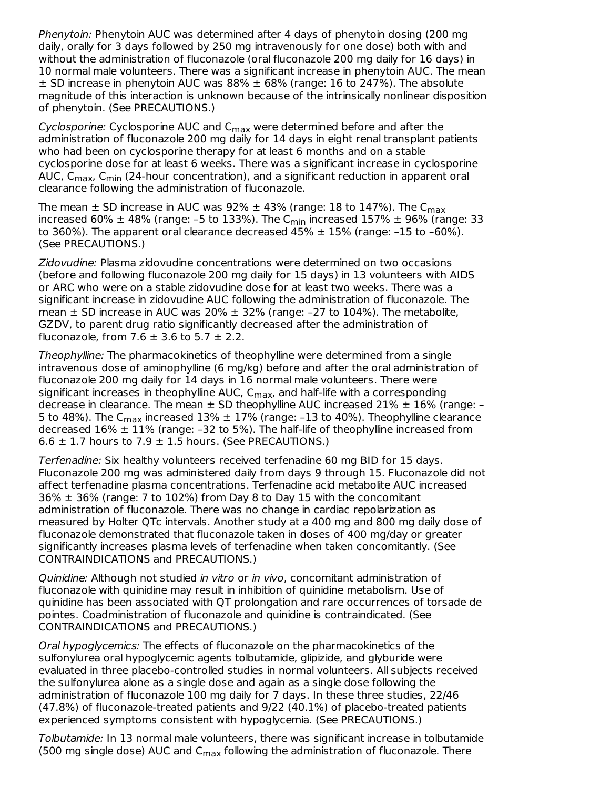Phenytoin: Phenytoin AUC was determined after 4 days of phenytoin dosing (200 mg daily, orally for 3 days followed by 250 mg intravenously for one dose) both with and without the administration of fluconazole (oral fluconazole 200 mg daily for 16 days) in 10 normal male volunteers. There was a significant increase in phenytoin AUC. The mean  $\pm$  SD increase in phenytoin AUC was 88%  $\pm$  68% (range: 16 to 247%). The absolute magnitude of this interaction is unknown because of the intrinsically nonlinear disposition of phenytoin. (See PRECAUTIONS.)

*Cyclosporine:* Cyclosporine AUC and C<sub>max</sub> were determined before and after the administration of fluconazole 200 mg daily for 14 days in eight renal transplant patients who had been on cyclosporine therapy for at least 6 months and on a stable cyclosporine dose for at least 6 weeks. There was a significant increase in cyclosporine AUC, C<sub>max</sub>, C<sub>min</sub> (24-hour concentration), and a significant reduction in apparent oral clearance following the administration of fluconazole.

The mean  $\pm$  SD increase in AUC was 92%  $\pm$  43% (range: 18 to 147%). The C $_{\sf max}$ increased 60%  $\pm$  48% (range: -5 to 133%). The C<sub>min</sub> increased 157%  $\pm$  96% (range: 33 to 360%). The apparent oral clearance decreased  $45\% \pm 15\%$  (range: -15 to -60%). (See PRECAUTIONS.)

Zidovudine: Plasma zidovudine concentrations were determined on two occasions (before and following fluconazole 200 mg daily for 15 days) in 13 volunteers with AIDS or ARC who were on a stable zidovudine dose for at least two weeks. There was a significant increase in zidovudine AUC following the administration of fluconazole. The mean  $\pm$  SD increase in AUC was 20%  $\pm$  32% (range: -27 to 104%). The metabolite, GZDV, to parent drug ratio significantly decreased after the administration of fluconazole, from 7.6  $\pm$  3.6 to 5.7  $\pm$  2.2.

Theophylline: The pharmacokinetics of theophylline were determined from a single intravenous dose of aminophylline (6 mg/kg) before and after the oral administration of fluconazole 200 mg daily for 14 days in 16 normal male volunteers. There were significant increases in theophylline AUC, C<sub>max</sub>, and half-life with a corresponding decrease in clearance. The mean  $\pm$  SD theophylline AUC increased 21%  $\pm$  16% (range: -5 to 48%). The C<sub>max</sub> increased 13%  $\pm$  17% (range: -13 to 40%). Theophylline clearance decreased  $16\% \pm 11\%$  (range: -32 to 5%). The half-life of theophylline increased from  $6.6 \pm 1.7$  hours to  $7.9 \pm 1.5$  hours. (See PRECAUTIONS.)

Terfenadine: Six healthy volunteers received terfenadine 60 mg BID for 15 days. Fluconazole 200 mg was administered daily from days 9 through 15. Fluconazole did not affect terfenadine plasma concentrations. Terfenadine acid metabolite AUC increased  $36\% \pm 36\%$  (range: 7 to 102%) from Day 8 to Day 15 with the concomitant administration of fluconazole. There was no change in cardiac repolarization as measured by Holter QTc intervals. Another study at a 400 mg and 800 mg daily dose of fluconazole demonstrated that fluconazole taken in doses of 400 mg/day or greater significantly increases plasma levels of terfenadine when taken concomitantly. (See CONTRAINDICATIONS and PRECAUTIONS.)

Quinidine: Although not studied in vitro or in vivo, concomitant administration of fluconazole with quinidine may result in inhibition of quinidine metabolism. Use of quinidine has been associated with QT prolongation and rare occurrences of torsade de pointes. Coadministration of fluconazole and quinidine is contraindicated. (See CONTRAINDICATIONS and PRECAUTIONS.)

Oral hypoglycemics: The effects of fluconazole on the pharmacokinetics of the sulfonylurea oral hypoglycemic agents tolbutamide, glipizide, and glyburide were evaluated in three placebo-controlled studies in normal volunteers. All subjects received the sulfonylurea alone as a single dose and again as a single dose following the administration of fluconazole 100 mg daily for 7 days. In these three studies, 22/46 (47.8%) of fluconazole-treated patients and 9/22 (40.1%) of placebo-treated patients experienced symptoms consistent with hypoglycemia. (See PRECAUTIONS.)

Tolbutamide: In 13 normal male volunteers, there was significant increase in tolbutamide (500 mg single dose) AUC and C<sub>max</sub> following the administration of fluconazole. There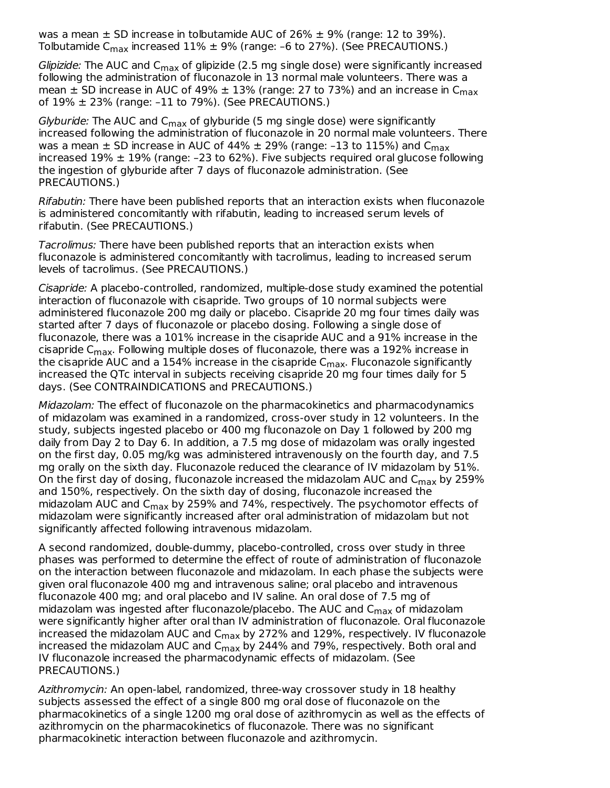was a mean  $\pm$  SD increase in tolbutamide AUC of 26%  $\pm$  9% (range: 12 to 39%). Tolbutamide C<sub>max</sub> increased 11% ± 9% (range: -6 to 27%). (See PRECAUTIONS.)

*Glipizide:* The AUC and C<sub>max</sub> of glipizide (2.5 mg single dose) were significantly increased following the administration of fluconazole in 13 normal male volunteers. There was a mean  $\pm$  SD increase in AUC of 49%  $\pm$  13% (range: 27 to 73%) and an increase in C $_{\sf max}$ of 19% ± 23% (range: –11 to 79%). (See PRECAUTIONS.)

*Glyburide:* The AUC and C<sub>max</sub> of glyburide (5 mg single dose) were significantly increased following the administration of fluconazole in 20 normal male volunteers. There was a mean  $\pm$  SD increase in AUC of 44%  $\pm$  29% (range: -13 to 115%) and C $_{\sf max}$ increased  $19\% \pm 19\%$  (range: -23 to 62%). Five subjects required oral glucose following the ingestion of glyburide after 7 days of fluconazole administration. (See PRECAUTIONS.)

Rifabutin: There have been published reports that an interaction exists when fluconazole is administered concomitantly with rifabutin, leading to increased serum levels of rifabutin. (See PRECAUTIONS.)

Tacrolimus: There have been published reports that an interaction exists when fluconazole is administered concomitantly with tacrolimus, leading to increased serum levels of tacrolimus. (See PRECAUTIONS.)

Cisapride: A placebo-controlled, randomized, multiple-dose study examined the potential interaction of fluconazole with cisapride. Two groups of 10 normal subjects were administered fluconazole 200 mg daily or placebo. Cisapride 20 mg four times daily was started after 7 days of fluconazole or placebo dosing. Following a single dose of fluconazole, there was a 101% increase in the cisapride AUC and a 91% increase in the cisapride C<sub>max</sub>. Following multiple doses of fluconazole, there was a 192% increase in the cisapride AUC and a 154% increase in the cisapride C<sub>max</sub>. Fluconazole significantly increased the QTc interval in subjects receiving cisapride 20 mg four times daily for 5 days. (See CONTRAINDICATIONS and PRECAUTIONS.)

Midazolam: The effect of fluconazole on the pharmacokinetics and pharmacodynamics of midazolam was examined in a randomized, cross-over study in 12 volunteers. In the study, subjects ingested placebo or 400 mg fluconazole on Day 1 followed by 200 mg daily from Day 2 to Day 6. In addition, a 7.5 mg dose of midazolam was orally ingested on the first day, 0.05 mg/kg was administered intravenously on the fourth day, and 7.5 mg orally on the sixth day. Fluconazole reduced the clearance of IV midazolam by 51%. On the first day of dosing, fluconazole increased the midazolam AUC and  $\mathsf{C}_{\mathsf{max}}$  by 259% and 150%, respectively. On the sixth day of dosing, fluconazole increased the midazolam AUC and C<sub>max</sub> by 259% and 74%, respectively. The psychomotor effects of midazolam were significantly increased after oral administration of midazolam but not significantly affected following intravenous midazolam.

A second randomized, double-dummy, placebo-controlled, cross over study in three phases was performed to determine the effect of route of administration of fluconazole on the interaction between fluconazole and midazolam. In each phase the subjects were given oral fluconazole 400 mg and intravenous saline; oral placebo and intravenous fluconazole 400 mg; and oral placebo and IV saline. An oral dose of 7.5 mg of midazolam was ingested after fluconazole/placebo. The AUC and C<sub>max</sub> of midazolam were significantly higher after oral than IV administration of fluconazole. Oral fluconazole increased the midazolam AUC and C<sub>max</sub> by 272% and 129%, respectively. IV fluconazole increased the midazolam AUC and C<sub>max</sub> by 244% and 79%, respectively. Both oral and IV fluconazole increased the pharmacodynamic effects of midazolam. (See PRECAUTIONS.)

Azithromycin: An open-label, randomized, three-way crossover study in 18 healthy subjects assessed the effect of a single 800 mg oral dose of fluconazole on the pharmacokinetics of a single 1200 mg oral dose of azithromycin as well as the effects of azithromycin on the pharmacokinetics of fluconazole. There was no significant pharmacokinetic interaction between fluconazole and azithromycin.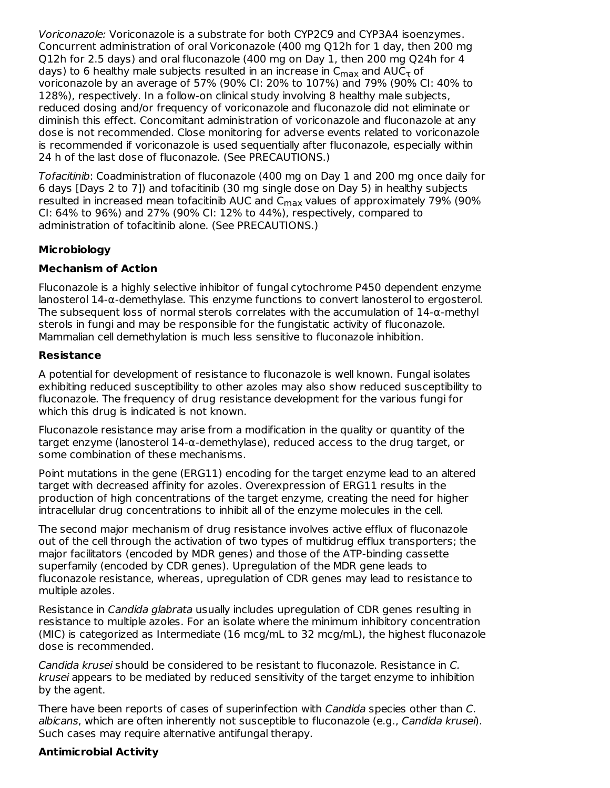Voriconazole: Voriconazole is a substrate for both CYP2C9 and CYP3A4 isoenzymes. Concurrent administration of oral Voriconazole (400 mg Q12h for 1 day, then 200 mg Q12h for 2.5 days) and oral fluconazole (400 mg on Day 1, then 200 mg Q24h for 4 days) to 6 healthy male subjects resulted in an increase in  $\mathsf{C}_{\mathsf{max}}$  and  $\mathsf{AUC}_{\mathsf{T}}$  of voriconazole by an average of 57% (90% CI: 20% to 107%) and 79% (90% CI: 40% to 128%), respectively. In a follow-on clinical study involving 8 healthy male subjects, reduced dosing and/or frequency of voriconazole and fluconazole did not eliminate or diminish this effect. Concomitant administration of voriconazole and fluconazole at any dose is not recommended. Close monitoring for adverse events related to voriconazole is recommended if voriconazole is used sequentially after fluconazole, especially within 24 h of the last dose of fluconazole. (See PRECAUTIONS.)

Tofacitinib: Coadministration of fluconazole (400 mg on Day 1 and 200 mg once daily for 6 days [Days 2 to 7]) and tofacitinib (30 mg single dose on Day 5) in healthy subjects resulted in increased mean tofacitinib AUC and C $_{\sf max}$  values of approximately 79% (90%  $\,$ CI: 64% to 96%) and 27% (90% CI: 12% to 44%), respectively, compared to administration of tofacitinib alone. (See PRECAUTIONS.)

# **Microbiology**

### **Mechanism of Action**

Fluconazole is a highly selective inhibitor of fungal cytochrome P450 dependent enzyme lanosterol 14-α-demethylase. This enzyme functions to convert lanosterol to ergosterol. The subsequent loss of normal sterols correlates with the accumulation of  $14-\alpha$ -methyl sterols in fungi and may be responsible for the fungistatic activity of fluconazole. Mammalian cell demethylation is much less sensitive to fluconazole inhibition.

#### **Resistance**

A potential for development of resistance to fluconazole is well known. Fungal isolates exhibiting reduced susceptibility to other azoles may also show reduced susceptibility to fluconazole. The frequency of drug resistance development for the various fungi for which this drug is indicated is not known.

Fluconazole resistance may arise from a modification in the quality or quantity of the target enzyme (lanosterol 14-α-demethylase), reduced access to the drug target, or some combination of these mechanisms.

Point mutations in the gene (ERG11) encoding for the target enzyme lead to an altered target with decreased affinity for azoles. Overexpression of ERG11 results in the production of high concentrations of the target enzyme, creating the need for higher intracellular drug concentrations to inhibit all of the enzyme molecules in the cell.

The second major mechanism of drug resistance involves active efflux of fluconazole out of the cell through the activation of two types of multidrug efflux transporters; the major facilitators (encoded by MDR genes) and those of the ATP-binding cassette superfamily (encoded by CDR genes). Upregulation of the MDR gene leads to fluconazole resistance, whereas, upregulation of CDR genes may lead to resistance to multiple azoles.

Resistance in Candida glabrata usually includes upregulation of CDR genes resulting in resistance to multiple azoles. For an isolate where the minimum inhibitory concentration (MIC) is categorized as Intermediate (16 mcg/mL to 32 mcg/mL), the highest fluconazole dose is recommended.

Candida krusei should be considered to be resistant to fluconazole. Resistance in C. krusei appears to be mediated by reduced sensitivity of the target enzyme to inhibition by the agent.

There have been reports of cases of superinfection with Candida species other than C. albicans, which are often inherently not susceptible to fluconazole (e.g., Candida krusei). Such cases may require alternative antifungal therapy.

### **Antimicrobial Activity**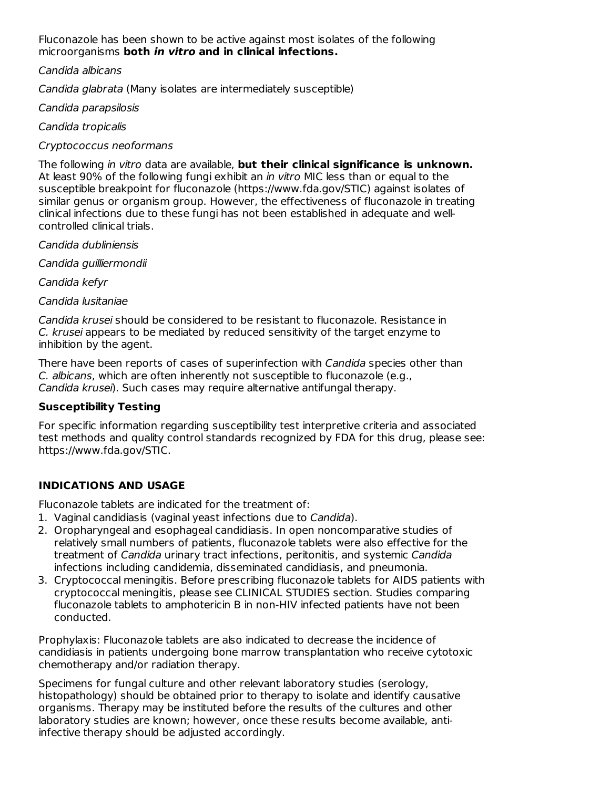Fluconazole has been shown to be active against most isolates of the following microorganisms **both in vitro and in clinical infections.**

Candida albicans

Candida glabrata (Many isolates are intermediately susceptible)

Candida parapsilosis

Candida tropicalis

Cryptococcus neoformans

The following in vitro data are available, **but their clinical significance is unknown.** At least 90% of the following fungi exhibit an *in vitro* MIC less than or equal to the susceptible breakpoint for fluconazole (https://www.fda.gov/STIC) against isolates of similar genus or organism group. However, the effectiveness of fluconazole in treating clinical infections due to these fungi has not been established in adequate and wellcontrolled clinical trials.

Candida dubliniensis

Candida guilliermondii

Candida kefyr

Candida lusitaniae

Candida krusei should be considered to be resistant to fluconazole. Resistance in C. krusei appears to be mediated by reduced sensitivity of the target enzyme to inhibition by the agent.

There have been reports of cases of superinfection with Candida species other than C. albicans, which are often inherently not susceptible to fluconazole (e.g., Candida krusei). Such cases may require alternative antifungal therapy.

### **Susceptibility Testing**

For specific information regarding susceptibility test interpretive criteria and associated test methods and quality control standards recognized by FDA for this drug, please see: https://www.fda.gov/STIC.

# **INDICATIONS AND USAGE**

Fluconazole tablets are indicated for the treatment of:

- 1. Vaginal candidiasis (vaginal yeast infections due to Candida).
- 2. Oropharyngeal and esophageal candidiasis. In open noncomparative studies of relatively small numbers of patients, fluconazole tablets were also effective for the treatment of Candida urinary tract infections, peritonitis, and systemic Candida infections including candidemia, disseminated candidiasis, and pneumonia.
- 3. Cryptococcal meningitis. Before prescribing fluconazole tablets for AIDS patients with cryptococcal meningitis, please see CLINICAL STUDIES section. Studies comparing fluconazole tablets to amphotericin B in non-HIV infected patients have not been conducted.

Prophylaxis: Fluconazole tablets are also indicated to decrease the incidence of candidiasis in patients undergoing bone marrow transplantation who receive cytotoxic chemotherapy and/or radiation therapy.

Specimens for fungal culture and other relevant laboratory studies (serology, histopathology) should be obtained prior to therapy to isolate and identify causative organisms. Therapy may be instituted before the results of the cultures and other laboratory studies are known; however, once these results become available, antiinfective therapy should be adjusted accordingly.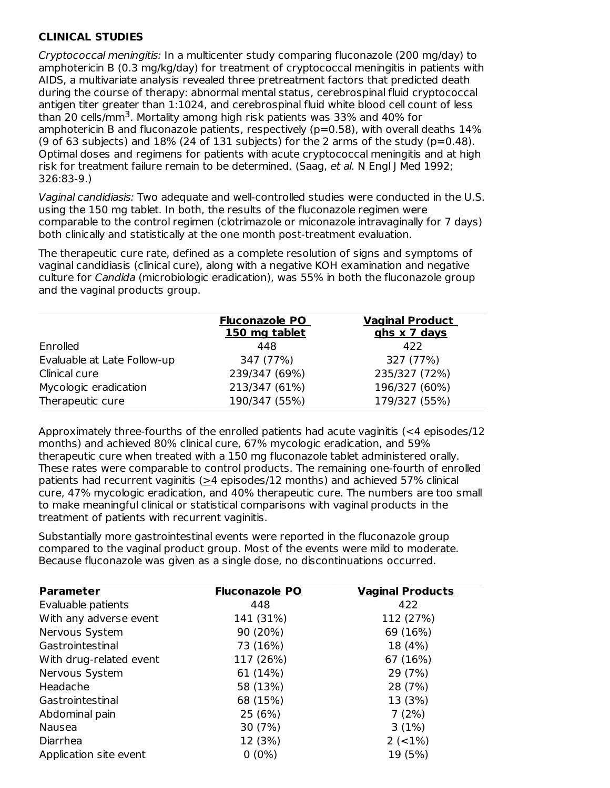# **CLINICAL STUDIES**

Cryptococcal meningitis: In a multicenter study comparing fluconazole (200 mg/day) to amphotericin B (0.3 mg/kg/day) for treatment of cryptococcal meningitis in patients with AIDS, a multivariate analysis revealed three pretreatment factors that predicted death during the course of therapy: abnormal mental status, cerebrospinal fluid cryptococcal antigen titer greater than 1:1024, and cerebrospinal fluid white blood cell count of less than 20 cells/mm<sup>3</sup>. Mortality among high risk patients was 33% and 40% for amphotericin B and fluconazole patients, respectively (p=0.58), with overall deaths 14% (9 of 63 subjects) and  $18\%$  (24 of 131 subjects) for the 2 arms of the study (p=0.48). Optimal doses and regimens for patients with acute cryptococcal meningitis and at high risk for treatment failure remain to be determined. (Saag, et al. N Engl J Med 1992; 326:83-9.)

Vaginal candidiasis: Two adequate and well-controlled studies were conducted in the U.S. using the 150 mg tablet. In both, the results of the fluconazole regimen were comparable to the control regimen (clotrimazole or miconazole intravaginally for 7 days) both clinically and statistically at the one month post-treatment evaluation.

The therapeutic cure rate, defined as a complete resolution of signs and symptoms of vaginal candidiasis (clinical cure), along with a negative KOH examination and negative culture for *Candida* (microbiologic eradication), was 55% in both the fluconazole group and the vaginal products group.

|                             | <b>Fluconazole PO</b><br>150 mg tablet | <b>Vaginal Product</b><br>ghs x 7 days |
|-----------------------------|----------------------------------------|----------------------------------------|
| Enrolled                    | 448                                    | 422                                    |
| Evaluable at Late Follow-up | 347 (77%)                              | 327 (77%)                              |
| Clinical cure               | 239/347 (69%)                          | 235/327 (72%)                          |
| Mycologic eradication       | 213/347 (61%)                          | 196/327 (60%)                          |
| Therapeutic cure            | 190/347 (55%)                          | 179/327 (55%)                          |

Approximately three-fourths of the enrolled patients had acute vaginitis (<4 episodes/12 months) and achieved 80% clinical cure, 67% mycologic eradication, and 59% therapeutic cure when treated with a 150 mg fluconazole tablet administered orally. These rates were comparable to control products. The remaining one-fourth of enrolled patients had recurrent vaginitis ( $\geq$ 4 episodes/12 months) and achieved 57% clinical cure, 47% mycologic eradication, and 40% therapeutic cure. The numbers are too small to make meaningful clinical or statistical comparisons with vaginal products in the treatment of patients with recurrent vaginitis.

Substantially more gastrointestinal events were reported in the fluconazole group compared to the vaginal product group. Most of the events were mild to moderate. Because fluconazole was given as a single dose, no discontinuations occurred.

| <b>Parameter</b>        | <b>Fluconazole PO</b> | <b>Vaginal Products</b> |
|-------------------------|-----------------------|-------------------------|
| Evaluable patients      | 448                   | 422                     |
| With any adverse event  | 141 (31%)             | 112 (27%)               |
| Nervous System          | 90 (20%)              | 69 (16%)                |
| Gastrointestinal        | 73 (16%)              | 18 (4%)                 |
| With drug-related event | 117 (26%)             | 67 (16%)                |
| Nervous System          | 61 (14%)              | 29 (7%)                 |
| Headache                | 58 (13%)              | 28 (7%)                 |
| Gastrointestinal        | 68 (15%)              | 13 (3%)                 |
| Abdominal pain          | 25 (6%)               | 7(2%)                   |
| Nausea                  | 30 (7%)               | 3(1%)                   |
| Diarrhea                | 12 (3%)               | $2 (-1%)$               |
| Application site event  | $0(0\%)$              | 19 (5%)                 |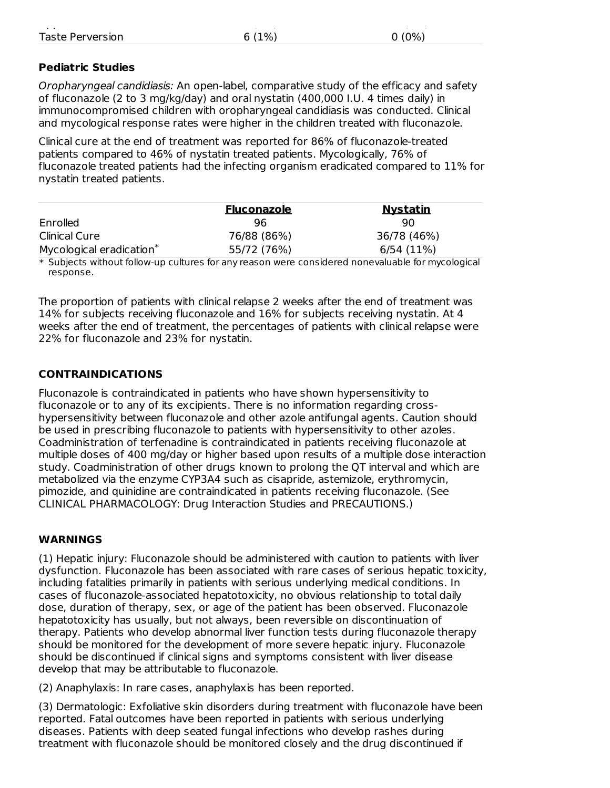# **Pediatric Studies**

Oropharyngeal candidiasis: An open-label, comparative study of the efficacy and safety of fluconazole (2 to 3 mg/kg/day) and oral nystatin (400,000 I.U. 4 times daily) in immunocompromised children with oropharyngeal candidiasis was conducted. Clinical and mycological response rates were higher in the children treated with fluconazole.

Clinical cure at the end of treatment was reported for 86% of fluconazole-treated patients compared to 46% of nystatin treated patients. Mycologically, 76% of fluconazole treated patients had the infecting organism eradicated compared to 11% for nystatin treated patients.

|                                      | <b>Fluconazole</b> | <u>Nystatin</u> |
|--------------------------------------|--------------------|-----------------|
|                                      |                    |                 |
| Enrolled                             | 96                 | 90              |
| Clinical Cure                        | 76/88 (86%)        | 36/78 (46%)     |
| Mycological eradication <sup>*</sup> | 55/72 (76%)        | 6/54 (11%)      |
| .                                    |                    |                 |

\* Subjects without follow-up cultures for any reason were considered nonevaluable for mycological response.

The proportion of patients with clinical relapse 2 weeks after the end of treatment was 14% for subjects receiving fluconazole and 16% for subjects receiving nystatin. At 4 weeks after the end of treatment, the percentages of patients with clinical relapse were 22% for fluconazole and 23% for nystatin.

# **CONTRAINDICATIONS**

Fluconazole is contraindicated in patients who have shown hypersensitivity to fluconazole or to any of its excipients. There is no information regarding crosshypersensitivity between fluconazole and other azole antifungal agents. Caution should be used in prescribing fluconazole to patients with hypersensitivity to other azoles. Coadministration of terfenadine is contraindicated in patients receiving fluconazole at multiple doses of 400 mg/day or higher based upon results of a multiple dose interaction study. Coadministration of other drugs known to prolong the QT interval and which are metabolized via the enzyme CYP3A4 such as cisapride, astemizole, erythromycin, pimozide, and quinidine are contraindicated in patients receiving fluconazole. (See CLINICAL PHARMACOLOGY: Drug Interaction Studies and PRECAUTIONS.)

# **WARNINGS**

(1) Hepatic injury: Fluconazole should be administered with caution to patients with liver dysfunction. Fluconazole has been associated with rare cases of serious hepatic toxicity, including fatalities primarily in patients with serious underlying medical conditions. In cases of fluconazole-associated hepatotoxicity, no obvious relationship to total daily dose, duration of therapy, sex, or age of the patient has been observed. Fluconazole hepatotoxicity has usually, but not always, been reversible on discontinuation of therapy. Patients who develop abnormal liver function tests during fluconazole therapy should be monitored for the development of more severe hepatic injury. Fluconazole should be discontinued if clinical signs and symptoms consistent with liver disease develop that may be attributable to fluconazole.

(2) Anaphylaxis: In rare cases, anaphylaxis has been reported.

(3) Dermatologic: Exfoliative skin disorders during treatment with fluconazole have been reported. Fatal outcomes have been reported in patients with serious underlying diseases. Patients with deep seated fungal infections who develop rashes during treatment with fluconazole should be monitored closely and the drug discontinued if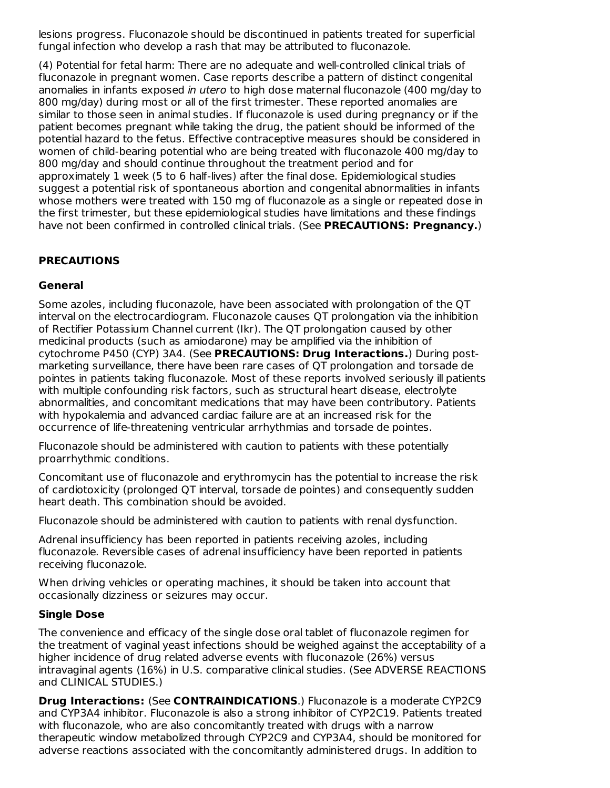lesions progress. Fluconazole should be discontinued in patients treated for superficial fungal infection who develop a rash that may be attributed to fluconazole.

(4) Potential for fetal harm: There are no adequate and well-controlled clinical trials of fluconazole in pregnant women. Case reports describe a pattern of distinct congenital anomalies in infants exposed in utero to high dose maternal fluconazole (400 mg/day to 800 mg/day) during most or all of the first trimester. These reported anomalies are similar to those seen in animal studies. If fluconazole is used during pregnancy or if the patient becomes pregnant while taking the drug, the patient should be informed of the potential hazard to the fetus. Effective contraceptive measures should be considered in women of child-bearing potential who are being treated with fluconazole 400 mg/day to 800 mg/day and should continue throughout the treatment period and for approximately 1 week (5 to 6 half-lives) after the final dose. Epidemiological studies suggest a potential risk of spontaneous abortion and congenital abnormalities in infants whose mothers were treated with 150 mg of fluconazole as a single or repeated dose in the first trimester, but these epidemiological studies have limitations and these findings have not been confirmed in controlled clinical trials. (See **PRECAUTIONS: Pregnancy.**)

# **PRECAUTIONS**

# **General**

Some azoles, including fluconazole, have been associated with prolongation of the QT interval on the electrocardiogram. Fluconazole causes QT prolongation via the inhibition of Rectifier Potassium Channel current (Ikr). The QT prolongation caused by other medicinal products (such as amiodarone) may be amplified via the inhibition of cytochrome P450 (CYP) 3A4. (See **PRECAUTIONS: Drug Interactions.**) During postmarketing surveillance, there have been rare cases of QT prolongation and torsade de pointes in patients taking fluconazole. Most of these reports involved seriously ill patients with multiple confounding risk factors, such as structural heart disease, electrolyte abnormalities, and concomitant medications that may have been contributory. Patients with hypokalemia and advanced cardiac failure are at an increased risk for the occurrence of life-threatening ventricular arrhythmias and torsade de pointes.

Fluconazole should be administered with caution to patients with these potentially proarrhythmic conditions.

Concomitant use of fluconazole and erythromycin has the potential to increase the risk of cardiotoxicity (prolonged QT interval, torsade de pointes) and consequently sudden heart death. This combination should be avoided.

Fluconazole should be administered with caution to patients with renal dysfunction.

Adrenal insufficiency has been reported in patients receiving azoles, including fluconazole. Reversible cases of adrenal insufficiency have been reported in patients receiving fluconazole.

When driving vehicles or operating machines, it should be taken into account that occasionally dizziness or seizures may occur.

### **Single Dose**

The convenience and efficacy of the single dose oral tablet of fluconazole regimen for the treatment of vaginal yeast infections should be weighed against the acceptability of a higher incidence of drug related adverse events with fluconazole (26%) versus intravaginal agents (16%) in U.S. comparative clinical studies. (See ADVERSE REACTIONS and CLINICAL STUDIES.)

**Drug Interactions:** (See **CONTRAINDICATIONS**.) Fluconazole is a moderate CYP2C9 and CYP3A4 inhibitor. Fluconazole is also a strong inhibitor of CYP2C19. Patients treated with fluconazole, who are also concomitantly treated with drugs with a narrow therapeutic window metabolized through CYP2C9 and CYP3A4, should be monitored for adverse reactions associated with the concomitantly administered drugs. In addition to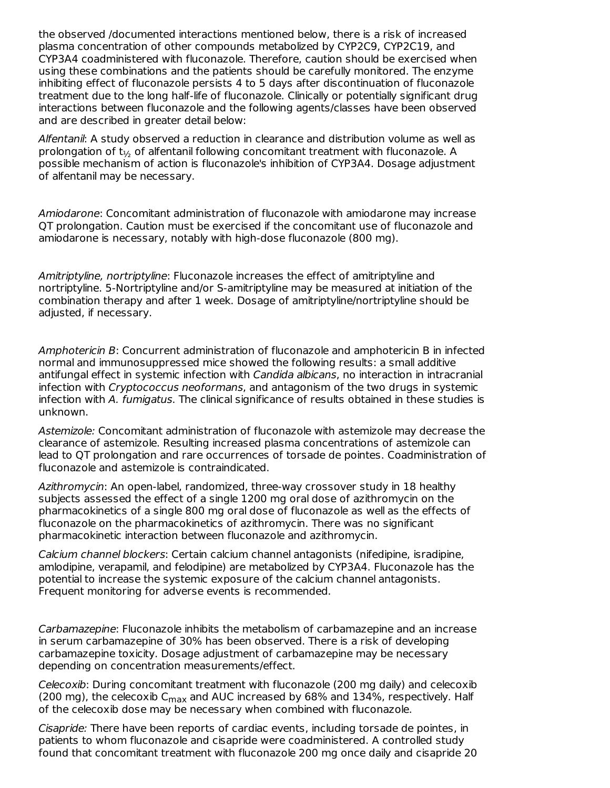the observed /documented interactions mentioned below, there is a risk of increased plasma concentration of other compounds metabolized by CYP2C9, CYP2C19, and CYP3A4 coadministered with fluconazole. Therefore, caution should be exercised when using these combinations and the patients should be carefully monitored. The enzyme inhibiting effect of fluconazole persists 4 to 5 days after discontinuation of fluconazole treatment due to the long half-life of fluconazole. Clinically or potentially significant drug interactions between fluconazole and the following agents/classes have been observed and are described in greater detail below:

Alfentanil: A study observed a reduction in clearance and distribution volume as well as prolongation of t $_{\nu_2}$  of alfentanil following concomitant treatment with fluconazole. A possible mechanism of action is fluconazole's inhibition of CYP3A4. Dosage adjustment of alfentanil may be necessary.

Amiodarone: Concomitant administration of fluconazole with amiodarone may increase QT prolongation. Caution must be exercised if the concomitant use of fluconazole and amiodarone is necessary, notably with high-dose fluconazole (800 mg).

Amitriptyline, nortriptyline: Fluconazole increases the effect of amitriptyline and nortriptyline. 5-Nortriptyline and/or S-amitriptyline may be measured at initiation of the combination therapy and after 1 week. Dosage of amitriptyline/nortriptyline should be adjusted, if necessary.

Amphotericin B: Concurrent administration of fluconazole and amphotericin B in infected normal and immunosuppressed mice showed the following results: a small additive antifungal effect in systemic infection with *Candida albicans*, no interaction in intracranial infection with *Cryptococcus neoformans*, and antagonism of the two drugs in systemic infection with A. fumigatus. The clinical significance of results obtained in these studies is unknown.

Astemizole: Concomitant administration of fluconazole with astemizole may decrease the clearance of astemizole. Resulting increased plasma concentrations of astemizole can lead to QT prolongation and rare occurrences of torsade de pointes. Coadministration of fluconazole and astemizole is contraindicated.

Azithromycin: An open-label, randomized, three-way crossover study in 18 healthy subjects assessed the effect of a single 1200 mg oral dose of azithromycin on the pharmacokinetics of a single 800 mg oral dose of fluconazole as well as the effects of fluconazole on the pharmacokinetics of azithromycin. There was no significant pharmacokinetic interaction between fluconazole and azithromycin.

Calcium channel blockers: Certain calcium channel antagonists (nifedipine, isradipine, amlodipine, verapamil, and felodipine) are metabolized by CYP3A4. Fluconazole has the potential to increase the systemic exposure of the calcium channel antagonists. Frequent monitoring for adverse events is recommended.

Carbamazepine: Fluconazole inhibits the metabolism of carbamazepine and an increase in serum carbamazepine of 30% has been observed. There is a risk of developing carbamazepine toxicity. Dosage adjustment of carbamazepine may be necessary depending on concentration measurements/effect.

Celecoxib: During concomitant treatment with fluconazole (200 mg daily) and celecoxib (200 mg), the celecoxib C<sub>max</sub> and AUC increased by 68% and 134%, respectively. Half of the celecoxib dose may be necessary when combined with fluconazole.

Cisapride: There have been reports of cardiac events, including torsade de pointes, in patients to whom fluconazole and cisapride were coadministered. A controlled study found that concomitant treatment with fluconazole 200 mg once daily and cisapride 20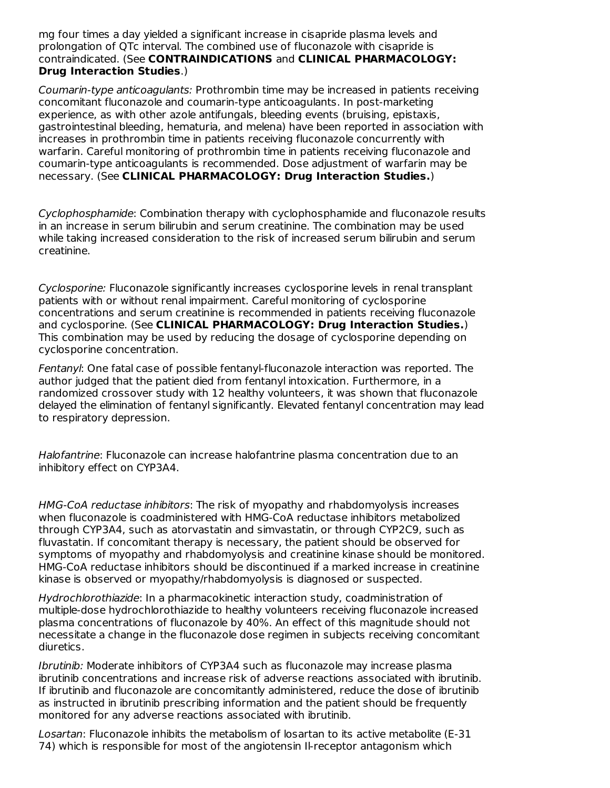mg four times a day yielded a significant increase in cisapride plasma levels and prolongation of QTc interval. The combined use of fluconazole with cisapride is contraindicated. (See **CONTRAINDICATIONS** and **CLINICAL PHARMACOLOGY: Drug Interaction Studies**.)

Coumarin-type anticoagulants: Prothrombin time may be increased in patients receiving concomitant fluconazole and coumarin-type anticoagulants. In post-marketing experience, as with other azole antifungals, bleeding events (bruising, epistaxis, gastrointestinal bleeding, hematuria, and melena) have been reported in association with increases in prothrombin time in patients receiving fluconazole concurrently with warfarin. Careful monitoring of prothrombin time in patients receiving fluconazole and coumarin-type anticoagulants is recommended. Dose adjustment of warfarin may be necessary. (See **CLINICAL PHARMACOLOGY: Drug Interaction Studies.**)

Cyclophosphamide: Combination therapy with cyclophosphamide and fluconazole results in an increase in serum bilirubin and serum creatinine. The combination may be used while taking increased consideration to the risk of increased serum bilirubin and serum creatinine.

Cyclosporine: Fluconazole significantly increases cyclosporine levels in renal transplant patients with or without renal impairment. Careful monitoring of cyclosporine concentrations and serum creatinine is recommended in patients receiving fluconazole and cyclosporine. (See **CLINICAL PHARMACOLOGY: Drug Interaction Studies.**) This combination may be used by reducing the dosage of cyclosporine depending on cyclosporine concentration.

Fentanyl: One fatal case of possible fentanyl-fluconazole interaction was reported. The author judged that the patient died from fentanyl intoxication. Furthermore, in a randomized crossover study with 12 healthy volunteers, it was shown that fluconazole delayed the elimination of fentanyl significantly. Elevated fentanyl concentration may lead to respiratory depression.

Halofantrine: Fluconazole can increase halofantrine plasma concentration due to an inhibitory effect on CYP3A4.

HMG-CoA reductase inhibitors: The risk of myopathy and rhabdomyolysis increases when fluconazole is coadministered with HMG-CoA reductase inhibitors metabolized through CYP3A4, such as atorvastatin and simvastatin, or through CYP2C9, such as fluvastatin. If concomitant therapy is necessary, the patient should be observed for symptoms of myopathy and rhabdomyolysis and creatinine kinase should be monitored. HMG-CoA reductase inhibitors should be discontinued if a marked increase in creatinine kinase is observed or myopathy/rhabdomyolysis is diagnosed or suspected.

Hydrochlorothiazide: In a pharmacokinetic interaction study, coadministration of multiple-dose hydrochlorothiazide to healthy volunteers receiving fluconazole increased plasma concentrations of fluconazole by 40%. An effect of this magnitude should not necessitate a change in the fluconazole dose regimen in subjects receiving concomitant diuretics.

Ibrutinib: Moderate inhibitors of CYP3A4 such as fluconazole may increase plasma ibrutinib concentrations and increase risk of adverse reactions associated with ibrutinib. If ibrutinib and fluconazole are concomitantly administered, reduce the dose of ibrutinib as instructed in ibrutinib prescribing information and the patient should be frequently monitored for any adverse reactions associated with ibrutinib.

Losartan: Fluconazole inhibits the metabolism of losartan to its active metabolite (E-31 74) which is responsible for most of the angiotensin Il-receptor antagonism which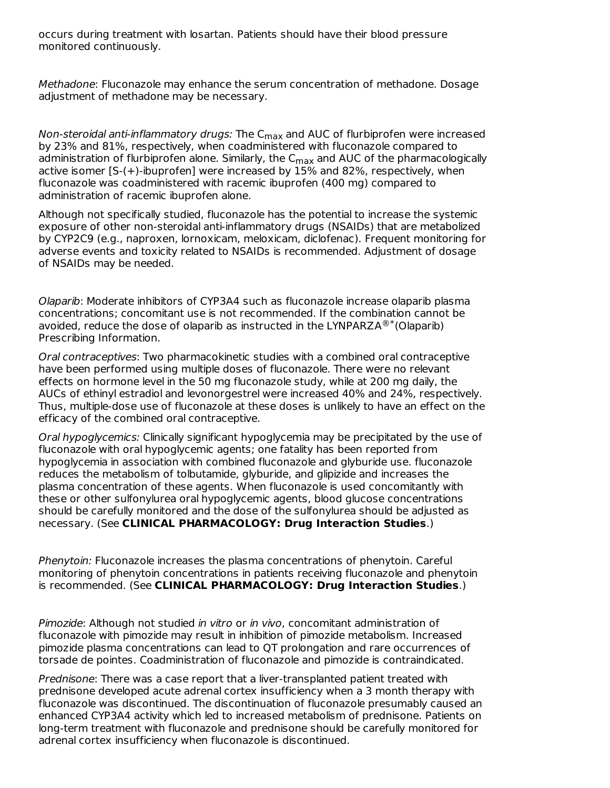occurs during treatment with losartan. Patients should have their blood pressure monitored continuously.

Methadone: Fluconazole may enhance the serum concentration of methadone. Dosage adjustment of methadone may be necessary.

N*on-steroidal anti-inflammatory drugs:* The C<sub>max</sub> and AUC of flurbiprofen were increased by 23% and 81%, respectively, when coadministered with fluconazole compared to administration of flurbiprofen alone. Similarly, the C $_{\sf max}$  and AUC of the pharmacologically active isomer [S-(+)-ibuprofen] were increased by 15% and 82%, respectively, when fluconazole was coadministered with racemic ibuprofen (400 mg) compared to administration of racemic ibuprofen alone.

Although not specifically studied, fluconazole has the potential to increase the systemic exposure of other non-steroidal anti-inflammatory drugs (NSAIDs) that are metabolized by CYP2C9 (e.g., naproxen, lornoxicam, meloxicam, diclofenac). Frequent monitoring for adverse events and toxicity related to NSAIDs is recommended. Adjustment of dosage of NSAIDs may be needed.

Olaparib: Moderate inhibitors of CYP3A4 such as fluconazole increase olaparib plasma concentrations; concomitant use is not recommended. If the combination cannot be avoided, reduce the dose of olaparib as instructed in the LYNPARZA $^{\circledR^{*}}$ (Olaparib) Prescribing Information.

Oral contraceptives: Two pharmacokinetic studies with a combined oral contraceptive have been performed using multiple doses of fluconazole. There were no relevant effects on hormone level in the 50 mg fluconazole study, while at 200 mg daily, the AUCs of ethinyl estradiol and levonorgestrel were increased 40% and 24%, respectively. Thus, multiple-dose use of fluconazole at these doses is unlikely to have an effect on the efficacy of the combined oral contraceptive.

Oral hypoglycemics: Clinically significant hypoglycemia may be precipitated by the use of fluconazole with oral hypoglycemic agents; one fatality has been reported from hypoglycemia in association with combined fluconazole and glyburide use. fluconazole reduces the metabolism of tolbutamide, glyburide, and glipizide and increases the plasma concentration of these agents. When fluconazole is used concomitantly with these or other sulfonylurea oral hypoglycemic agents, blood glucose concentrations should be carefully monitored and the dose of the sulfonylurea should be adjusted as necessary. (See **CLINICAL PHARMACOLOGY: Drug Interaction Studies**.)

Phenytoin: Fluconazole increases the plasma concentrations of phenytoin. Careful monitoring of phenytoin concentrations in patients receiving fluconazole and phenytoin is recommended. (See **CLINICAL PHARMACOLOGY: Drug Interaction Studies**.)

Pimozide: Although not studied in vitro or in vivo, concomitant administration of fluconazole with pimozide may result in inhibition of pimozide metabolism. Increased pimozide plasma concentrations can lead to QT prolongation and rare occurrences of torsade de pointes. Coadministration of fluconazole and pimozide is contraindicated.

Prednisone: There was a case report that a liver-transplanted patient treated with prednisone developed acute adrenal cortex insufficiency when a 3 month therapy with fluconazole was discontinued. The discontinuation of fluconazole presumably caused an enhanced CYP3A4 activity which led to increased metabolism of prednisone. Patients on long-term treatment with fluconazole and prednisone should be carefully monitored for adrenal cortex insufficiency when fluconazole is discontinued.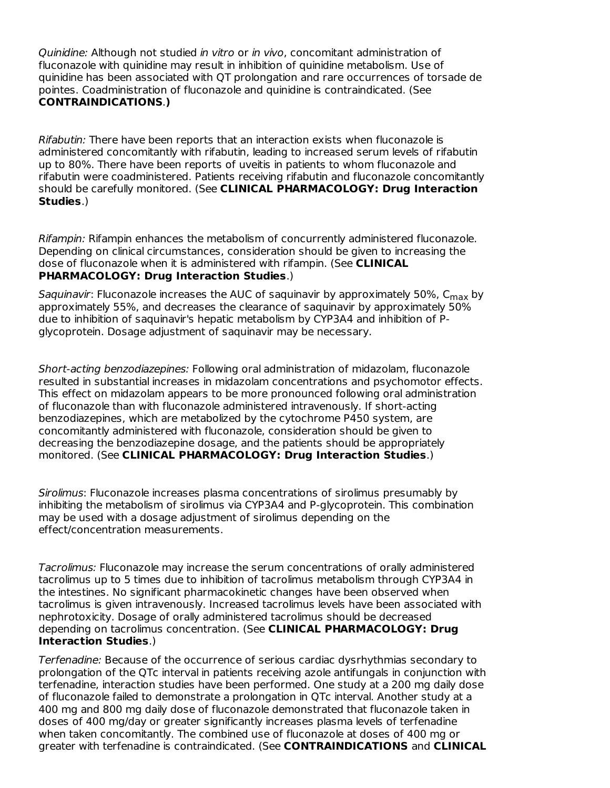Quinidine: Although not studied in vitro or in vivo, concomitant administration of fluconazole with quinidine may result in inhibition of quinidine metabolism. Use of quinidine has been associated with QT prolongation and rare occurrences of torsade de pointes. Coadministration of fluconazole and quinidine is contraindicated. (See **CONTRAINDICATIONS**.**)**

Rifabutin: There have been reports that an interaction exists when fluconazole is administered concomitantly with rifabutin, leading to increased serum levels of rifabutin up to 80%. There have been reports of uveitis in patients to whom fluconazole and rifabutin were coadministered. Patients receiving rifabutin and fluconazole concomitantly should be carefully monitored. (See **CLINICAL PHARMACOLOGY: Drug Interaction Studies**.)

Rifampin: Rifampin enhances the metabolism of concurrently administered fluconazole. Depending on clinical circumstances, consideration should be given to increasing the dose of fluconazole when it is administered with rifampin. (See **CLINICAL PHARMACOLOGY: Drug Interaction Studies**.)

*Saquinavir*: Fluconazole increases the AUC of saquinavir by approximately 50%, C<sub>max</sub> by approximately 55%, and decreases the clearance of saquinavir by approximately 50% due to inhibition of saquinavir's hepatic metabolism by CYP3A4 and inhibition of Pglycoprotein. Dosage adjustment of saquinavir may be necessary.

Short-acting benzodiazepines: Following oral administration of midazolam, fluconazole resulted in substantial increases in midazolam concentrations and psychomotor effects. This effect on midazolam appears to be more pronounced following oral administration of fluconazole than with fluconazole administered intravenously. If short-acting benzodiazepines, which are metabolized by the cytochrome P450 system, are concomitantly administered with fluconazole, consideration should be given to decreasing the benzodiazepine dosage, and the patients should be appropriately monitored. (See **CLINICAL PHARMACOLOGY: Drug Interaction Studies**.)

Sirolimus: Fluconazole increases plasma concentrations of sirolimus presumably by inhibiting the metabolism of sirolimus via CYP3A4 and P-glycoprotein. This combination may be used with a dosage adjustment of sirolimus depending on the effect/concentration measurements.

Tacrolimus: Fluconazole may increase the serum concentrations of orally administered tacrolimus up to 5 times due to inhibition of tacrolimus metabolism through CYP3A4 in the intestines. No significant pharmacokinetic changes have been observed when tacrolimus is given intravenously. Increased tacrolimus levels have been associated with nephrotoxicity. Dosage of orally administered tacrolimus should be decreased depending on tacrolimus concentration. (See **CLINICAL PHARMACOLOGY: Drug Interaction Studies**.)

Terfenadine: Because of the occurrence of serious cardiac dysrhythmias secondary to prolongation of the QTc interval in patients receiving azole antifungals in conjunction with terfenadine, interaction studies have been performed. One study at a 200 mg daily dose of fluconazole failed to demonstrate a prolongation in QTc interval. Another study at a 400 mg and 800 mg daily dose of fluconazole demonstrated that fluconazole taken in doses of 400 mg/day or greater significantly increases plasma levels of terfenadine when taken concomitantly. The combined use of fluconazole at doses of 400 mg or greater with terfenadine is contraindicated. (See **CONTRAINDICATIONS** and **CLINICAL**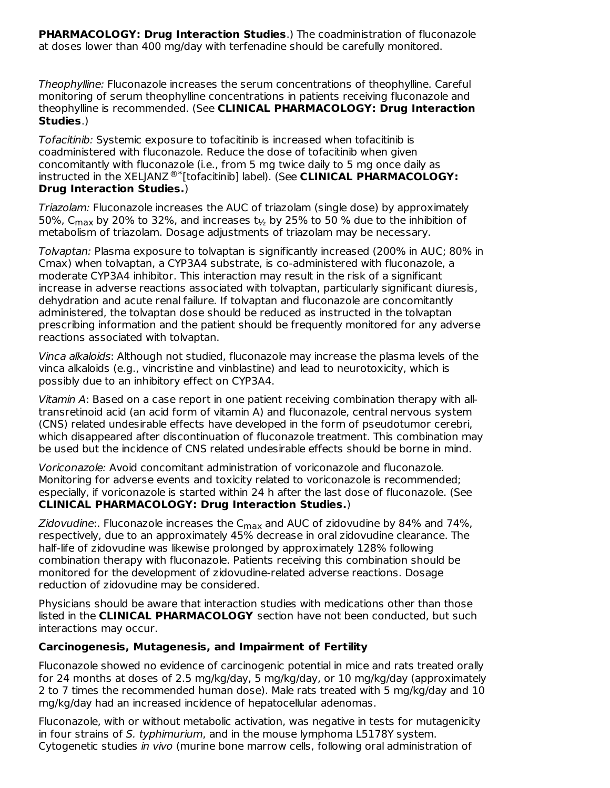**PHARMACOLOGY: Drug Interaction Studies**.) The coadministration of fluconazole at doses lower than 400 mg/day with terfenadine should be carefully monitored.

Theophylline: Fluconazole increases the serum concentrations of theophylline. Careful monitoring of serum theophylline concentrations in patients receiving fluconazole and theophylline is recommended. (See **CLINICAL PHARMACOLOGY: Drug Interaction Studies**.)

Tofacitinib: Systemic exposure to tofacitinib is increased when tofacitinib is coadministered with fluconazole. Reduce the dose of tofacitinib when given concomitantly with fluconazole (i.e., from 5 mg twice daily to 5 mg once daily as instructed in the XELJANZ<sup>®\*</sup>[tofacitinib] label). (See **CLINICAL PHARMACOLOGY: Drug Interaction Studies.**)

Triazolam: Fluconazole increases the AUC of triazolam (single dose) by approximately 50%, C<sub>max</sub> by 20% to 32%, and increases t $_{\rm 1/2}$  by 25% to 50 % due to the inhibition of metabolism of triazolam. Dosage adjustments of triazolam may be necessary.

Tolvaptan: Plasma exposure to tolvaptan is significantly increased (200% in AUC; 80% in Cmax) when tolvaptan, a CYP3A4 substrate, is co-administered with fluconazole, a moderate CYP3A4 inhibitor. This interaction may result in the risk of a significant increase in adverse reactions associated with tolvaptan, particularly significant diuresis, dehydration and acute renal failure. If tolvaptan and fluconazole are concomitantly administered, the tolvaptan dose should be reduced as instructed in the tolvaptan prescribing information and the patient should be frequently monitored for any adverse reactions associated with tolvaptan.

Vinca alkaloids: Although not studied, fluconazole may increase the plasma levels of the vinca alkaloids (e.g., vincristine and vinblastine) and lead to neurotoxicity, which is possibly due to an inhibitory effect on CYP3A4.

Vitamin A: Based on a case report in one patient receiving combination therapy with alltransretinoid acid (an acid form of vitamin A) and fluconazole, central nervous system (CNS) related undesirable effects have developed in the form of pseudotumor cerebri, which disappeared after discontinuation of fluconazole treatment. This combination may be used but the incidence of CNS related undesirable effects should be borne in mind.

Voriconazole: Avoid concomitant administration of voriconazole and fluconazole. Monitoring for adverse events and toxicity related to voriconazole is recommended; especially, if voriconazole is started within 24 h after the last dose of fluconazole. (See **CLINICAL PHARMACOLOGY: Drug Interaction Studies.**)

*Zidovudine*:. Fluconazole increases the C<sub>max</sub> and AUC of zidovudine by 84% and 74%, respectively, due to an approximately 45% decrease in oral zidovudine clearance. The half-life of zidovudine was likewise prolonged by approximately 128% following combination therapy with fluconazole. Patients receiving this combination should be monitored for the development of zidovudine-related adverse reactions. Dosage reduction of zidovudine may be considered.

Physicians should be aware that interaction studies with medications other than those listed in the **CLINICAL PHARMACOLOGY** section have not been conducted, but such interactions may occur.

### **Carcinogenesis, Mutagenesis, and Impairment of Fertility**

Fluconazole showed no evidence of carcinogenic potential in mice and rats treated orally for 24 months at doses of 2.5 mg/kg/day, 5 mg/kg/day, or 10 mg/kg/day (approximately 2 to 7 times the recommended human dose). Male rats treated with 5 mg/kg/day and 10 mg/kg/day had an increased incidence of hepatocellular adenomas.

Fluconazole, with or without metabolic activation, was negative in tests for mutagenicity in four strains of S. typhimurium, and in the mouse lymphoma L5178Y system. Cytogenetic studies in vivo (murine bone marrow cells, following oral administration of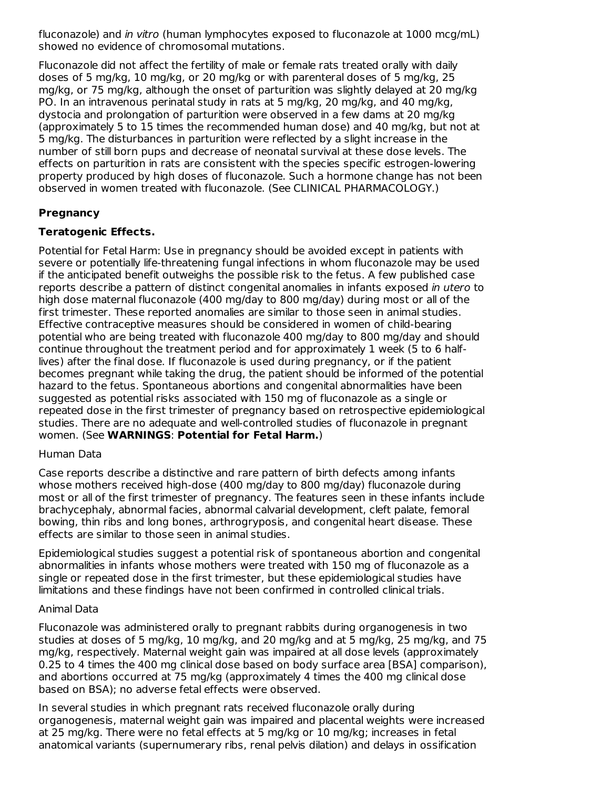fluconazole) and in vitro (human lymphocytes exposed to fluconazole at 1000 mcg/mL) showed no evidence of chromosomal mutations.

Fluconazole did not affect the fertility of male or female rats treated orally with daily doses of 5 mg/kg, 10 mg/kg, or 20 mg/kg or with parenteral doses of 5 mg/kg, 25 mg/kg, or 75 mg/kg, although the onset of parturition was slightly delayed at 20 mg/kg PO. In an intravenous perinatal study in rats at 5 mg/kg, 20 mg/kg, and 40 mg/kg, dystocia and prolongation of parturition were observed in a few dams at 20 mg/kg (approximately 5 to 15 times the recommended human dose) and 40 mg/kg, but not at 5 mg/kg. The disturbances in parturition were reflected by a slight increase in the number of still born pups and decrease of neonatal survival at these dose levels. The effects on parturition in rats are consistent with the species specific estrogen-lowering property produced by high doses of fluconazole. Such a hormone change has not been observed in women treated with fluconazole. (See CLINICAL PHARMACOLOGY.)

# **Pregnancy**

# **Teratogenic Effects.**

Potential for Fetal Harm: Use in pregnancy should be avoided except in patients with severe or potentially life-threatening fungal infections in whom fluconazole may be used if the anticipated benefit outweighs the possible risk to the fetus. A few published case reports describe a pattern of distinct congenital anomalies in infants exposed in utero to high dose maternal fluconazole (400 mg/day to 800 mg/day) during most or all of the first trimester. These reported anomalies are similar to those seen in animal studies. Effective contraceptive measures should be considered in women of child-bearing potential who are being treated with fluconazole 400 mg/day to 800 mg/day and should continue throughout the treatment period and for approximately 1 week (5 to 6 halflives) after the final dose. If fluconazole is used during pregnancy, or if the patient becomes pregnant while taking the drug, the patient should be informed of the potential hazard to the fetus. Spontaneous abortions and congenital abnormalities have been suggested as potential risks associated with 150 mg of fluconazole as a single or repeated dose in the first trimester of pregnancy based on retrospective epidemiological studies. There are no adequate and well-controlled studies of fluconazole in pregnant women. (See **WARNINGS**: **Potential for Fetal Harm.**)

### Human Data

Case reports describe a distinctive and rare pattern of birth defects among infants whose mothers received high-dose (400 mg/day to 800 mg/day) fluconazole during most or all of the first trimester of pregnancy. The features seen in these infants include brachycephaly, abnormal facies, abnormal calvarial development, cleft palate, femoral bowing, thin ribs and long bones, arthrogryposis, and congenital heart disease. These effects are similar to those seen in animal studies.

Epidemiological studies suggest a potential risk of spontaneous abortion and congenital abnormalities in infants whose mothers were treated with 150 mg of fluconazole as a single or repeated dose in the first trimester, but these epidemiological studies have limitations and these findings have not been confirmed in controlled clinical trials.

### Animal Data

Fluconazole was administered orally to pregnant rabbits during organogenesis in two studies at doses of 5 mg/kg, 10 mg/kg, and 20 mg/kg and at 5 mg/kg, 25 mg/kg, and 75 mg/kg, respectively. Maternal weight gain was impaired at all dose levels (approximately 0.25 to 4 times the 400 mg clinical dose based on body surface area [BSA] comparison), and abortions occurred at 75 mg/kg (approximately 4 times the 400 mg clinical dose based on BSA); no adverse fetal effects were observed.

In several studies in which pregnant rats received fluconazole orally during organogenesis, maternal weight gain was impaired and placental weights were increased at 25 mg/kg. There were no fetal effects at 5 mg/kg or 10 mg/kg; increases in fetal anatomical variants (supernumerary ribs, renal pelvis dilation) and delays in ossification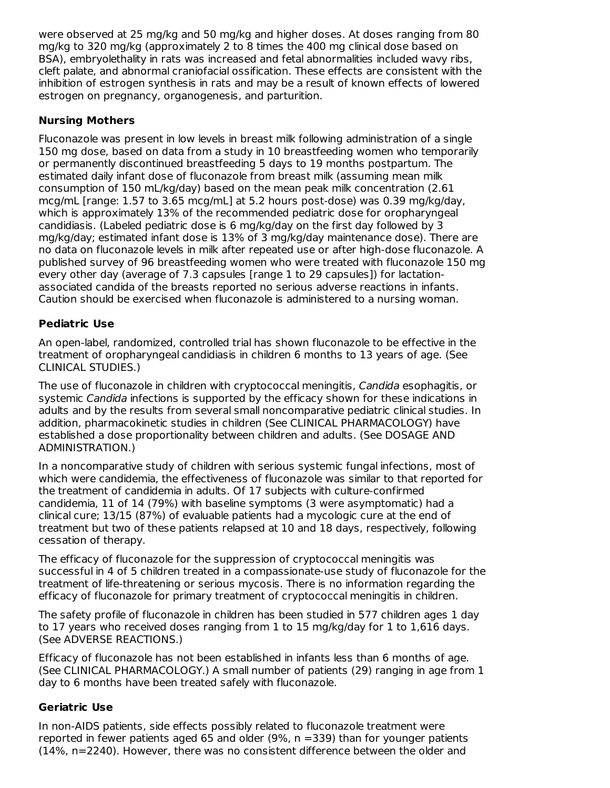were observed at 25 mg/kg and 50 mg/kg and higher doses. At doses ranging from 80 mg/kg to 320 mg/kg (approximately 2 to 8 times the 400 mg clinical dose based on BSA), embryolethality in rats was increased and fetal abnormalities included wavy ribs, cleft palate, and abnormal craniofacial ossification. These effects are consistent with the inhibition of estrogen synthesis in rats and may be a result of known effects of lowered estrogen on pregnancy, organogenesis, and parturition.

# **Nursing Mothers**

Fluconazole was present in low levels in breast milk following administration of a single 150 mg dose, based on data from a study in 10 breastfeeding women who temporarily or permanently discontinued breastfeeding 5 days to 19 months postpartum. The estimated daily infant dose of fluconazole from breast milk (assuming mean milk consumption of 150 mL/kg/day) based on the mean peak milk concentration (2.61 mcg/mL [range: 1.57 to 3.65 mcg/mL] at 5.2 hours post-dose) was 0.39 mg/kg/day, which is approximately 13% of the recommended pediatric dose for oropharyngeal candidiasis. (Labeled pediatric dose is 6 mg/kg/day on the first day followed by 3 mg/kg/day; estimated infant dose is 13% of 3 mg/kg/day maintenance dose). There are no data on fluconazole levels in milk after repeated use or after high-dose fluconazole. A published survey of 96 breastfeeding women who were treated with fluconazole 150 mg every other day (average of 7.3 capsules [range 1 to 29 capsules]) for lactationassociated candida of the breasts reported no serious adverse reactions in infants. Caution should be exercised when fluconazole is administered to a nursing woman.

# **Pediatric Use**

An open-label, randomized, controlled trial has shown fluconazole to be effective in the treatment of oropharyngeal candidiasis in children 6 months to 13 years of age. (See CLINICAL STUDIES.)

The use of fluconazole in children with cryptococcal meningitis, Candida esophagitis, or systemic Candida infections is supported by the efficacy shown for these indications in adults and by the results from several small noncomparative pediatric clinical studies. In addition, pharmacokinetic studies in children (See CLINICAL PHARMACOLOGY) have established a dose proportionality between children and adults. (See DOSAGE AND ADMINISTRATION.)

In a noncomparative study of children with serious systemic fungal infections, most of which were candidemia, the effectiveness of fluconazole was similar to that reported for the treatment of candidemia in adults. Of 17 subjects with culture-confirmed candidemia, 11 of 14 (79%) with baseline symptoms (3 were asymptomatic) had a clinical cure; 13/15 (87%) of evaluable patients had a mycologic cure at the end of treatment but two of these patients relapsed at 10 and 18 days, respectively, following cessation of therapy.

The efficacy of fluconazole for the suppression of cryptococcal meningitis was successful in 4 of 5 children treated in a compassionate-use study of fluconazole for the treatment of life-threatening or serious mycosis. There is no information regarding the efficacy of fluconazole for primary treatment of cryptococcal meningitis in children.

The safety profile of fluconazole in children has been studied in 577 children ages 1 day to 17 years who received doses ranging from 1 to 15 mg/kg/day for 1 to 1,616 days. (See ADVERSE REACTIONS.)

Efficacy of fluconazole has not been established in infants less than 6 months of age. (See CLINICAL PHARMACOLOGY.) A small number of patients (29) ranging in age from 1 day to 6 months have been treated safely with fluconazole.

# **Geriatric Use**

In non-AIDS patients, side effects possibly related to fluconazole treatment were reported in fewer patients aged 65 and older (9%, n =339) than for younger patients (14%, n=2240). However, there was no consistent difference between the older and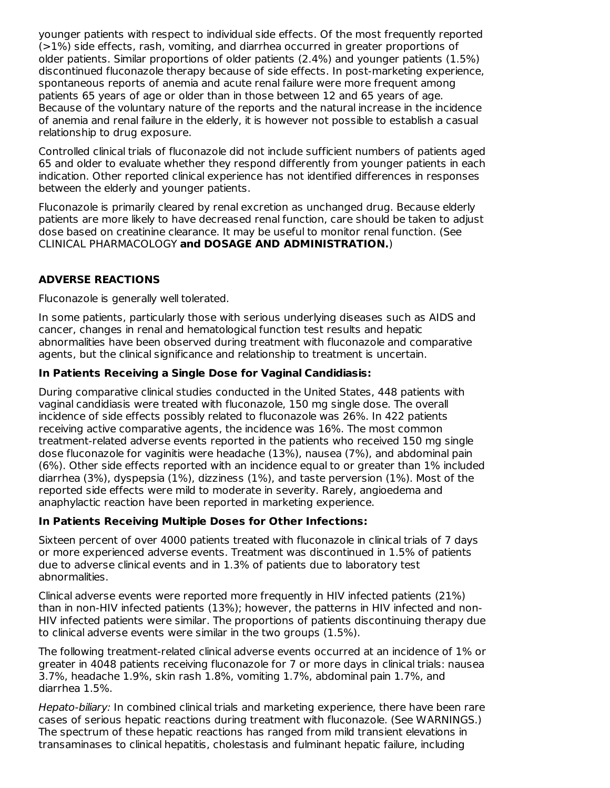younger patients with respect to individual side effects. Of the most frequently reported (>1%) side effects, rash, vomiting, and diarrhea occurred in greater proportions of older patients. Similar proportions of older patients (2.4%) and younger patients (1.5%) discontinued fluconazole therapy because of side effects. In post-marketing experience, spontaneous reports of anemia and acute renal failure were more frequent among patients 65 years of age or older than in those between 12 and 65 years of age. Because of the voluntary nature of the reports and the natural increase in the incidence of anemia and renal failure in the elderly, it is however not possible to establish a casual relationship to drug exposure.

Controlled clinical trials of fluconazole did not include sufficient numbers of patients aged 65 and older to evaluate whether they respond differently from younger patients in each indication. Other reported clinical experience has not identified differences in responses between the elderly and younger patients.

Fluconazole is primarily cleared by renal excretion as unchanged drug. Because elderly patients are more likely to have decreased renal function, care should be taken to adjust dose based on creatinine clearance. It may be useful to monitor renal function. (See CLINICAL PHARMACOLOGY **and DOSAGE AND ADMINISTRATION.**)

# **ADVERSE REACTIONS**

Fluconazole is generally well tolerated.

In some patients, particularly those with serious underlying diseases such as AIDS and cancer, changes in renal and hematological function test results and hepatic abnormalities have been observed during treatment with fluconazole and comparative agents, but the clinical significance and relationship to treatment is uncertain.

### **In Patients Receiving a Single Dose for Vaginal Candidiasis:**

During comparative clinical studies conducted in the United States, 448 patients with vaginal candidiasis were treated with fluconazole, 150 mg single dose. The overall incidence of side effects possibly related to fluconazole was 26%. In 422 patients receiving active comparative agents, the incidence was 16%. The most common treatment-related adverse events reported in the patients who received 150 mg single dose fluconazole for vaginitis were headache (13%), nausea (7%), and abdominal pain (6%). Other side effects reported with an incidence equal to or greater than 1% included diarrhea (3%), dyspepsia (1%), dizziness (1%), and taste perversion (1%). Most of the reported side effects were mild to moderate in severity. Rarely, angioedema and anaphylactic reaction have been reported in marketing experience.

### **In Patients Receiving Multiple Doses for Other Infections:**

Sixteen percent of over 4000 patients treated with fluconazole in clinical trials of 7 days or more experienced adverse events. Treatment was discontinued in 1.5% of patients due to adverse clinical events and in 1.3% of patients due to laboratory test abnormalities.

Clinical adverse events were reported more frequently in HIV infected patients (21%) than in non-HIV infected patients (13%); however, the patterns in HIV infected and non-HIV infected patients were similar. The proportions of patients discontinuing therapy due to clinical adverse events were similar in the two groups (1.5%).

The following treatment-related clinical adverse events occurred at an incidence of 1% or greater in 4048 patients receiving fluconazole for 7 or more days in clinical trials: nausea 3.7%, headache 1.9%, skin rash 1.8%, vomiting 1.7%, abdominal pain 1.7%, and diarrhea 1.5%.

Hepato-biliary: In combined clinical trials and marketing experience, there have been rare cases of serious hepatic reactions during treatment with fluconazole. (See WARNINGS.) The spectrum of these hepatic reactions has ranged from mild transient elevations in transaminases to clinical hepatitis, cholestasis and fulminant hepatic failure, including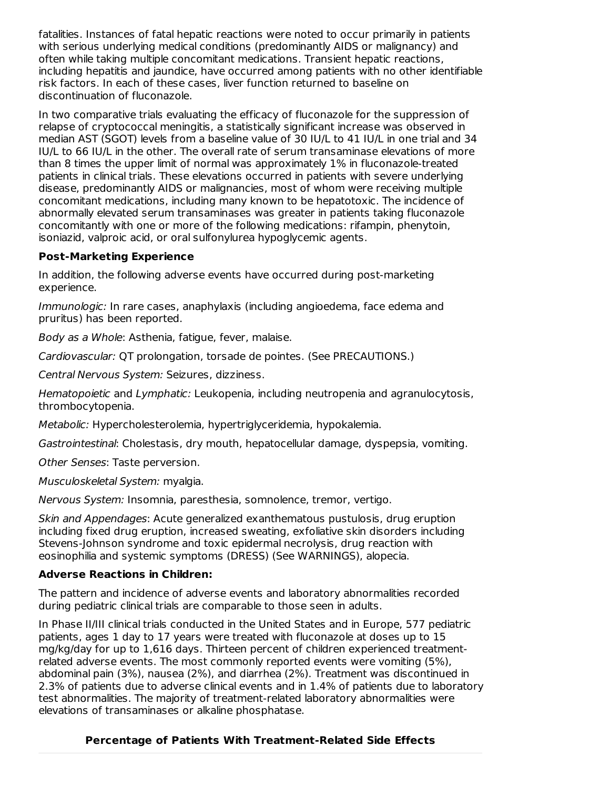fatalities. Instances of fatal hepatic reactions were noted to occur primarily in patients with serious underlying medical conditions (predominantly AIDS or malignancy) and often while taking multiple concomitant medications. Transient hepatic reactions, including hepatitis and jaundice, have occurred among patients with no other identifiable risk factors. In each of these cases, liver function returned to baseline on discontinuation of fluconazole.

In two comparative trials evaluating the efficacy of fluconazole for the suppression of relapse of cryptococcal meningitis, a statistically significant increase was observed in median AST (SGOT) levels from a baseline value of 30 IU/L to 41 IU/L in one trial and 34 IU/L to 66 IU/L in the other. The overall rate of serum transaminase elevations of more than 8 times the upper limit of normal was approximately 1% in fluconazole-treated patients in clinical trials. These elevations occurred in patients with severe underlying disease, predominantly AIDS or malignancies, most of whom were receiving multiple concomitant medications, including many known to be hepatotoxic. The incidence of abnormally elevated serum transaminases was greater in patients taking fluconazole concomitantly with one or more of the following medications: rifampin, phenytoin, isoniazid, valproic acid, or oral sulfonylurea hypoglycemic agents.

# **Post-Marketing Experience**

In addition, the following adverse events have occurred during post-marketing experience.

Immunologic: In rare cases, anaphylaxis (including angioedema, face edema and pruritus) has been reported.

Body as a Whole: Asthenia, fatigue, fever, malaise.

Cardiovascular: QT prolongation, torsade de pointes. (See PRECAUTIONS.)

Central Nervous System: Seizures, dizziness.

Hematopoietic and Lymphatic: Leukopenia, including neutropenia and agranulocytosis, thrombocytopenia.

Metabolic: Hypercholesterolemia, hypertriglyceridemia, hypokalemia.

Gastrointestinal: Cholestasis, dry mouth, hepatocellular damage, dyspepsia, vomiting.

Other Senses: Taste perversion.

Musculoskeletal System: myalgia.

Nervous System: Insomnia, paresthesia, somnolence, tremor, vertigo.

Skin and Appendages: Acute generalized exanthematous pustulosis, drug eruption including fixed drug eruption, increased sweating, exfoliative skin disorders including Stevens-Johnson syndrome and toxic epidermal necrolysis, drug reaction with eosinophilia and systemic symptoms (DRESS) (See WARNINGS), alopecia.

# **Adverse Reactions in Children:**

The pattern and incidence of adverse events and laboratory abnormalities recorded during pediatric clinical trials are comparable to those seen in adults.

In Phase II/III clinical trials conducted in the United States and in Europe, 577 pediatric patients, ages 1 day to 17 years were treated with fluconazole at doses up to 15 mg/kg/day for up to 1,616 days. Thirteen percent of children experienced treatmentrelated adverse events. The most commonly reported events were vomiting (5%), abdominal pain (3%), nausea (2%), and diarrhea (2%). Treatment was discontinued in 2.3% of patients due to adverse clinical events and in 1.4% of patients due to laboratory test abnormalities. The majority of treatment-related laboratory abnormalities were elevations of transaminases or alkaline phosphatase.

# **Percentage of Patients With Treatment-Related Side Effects**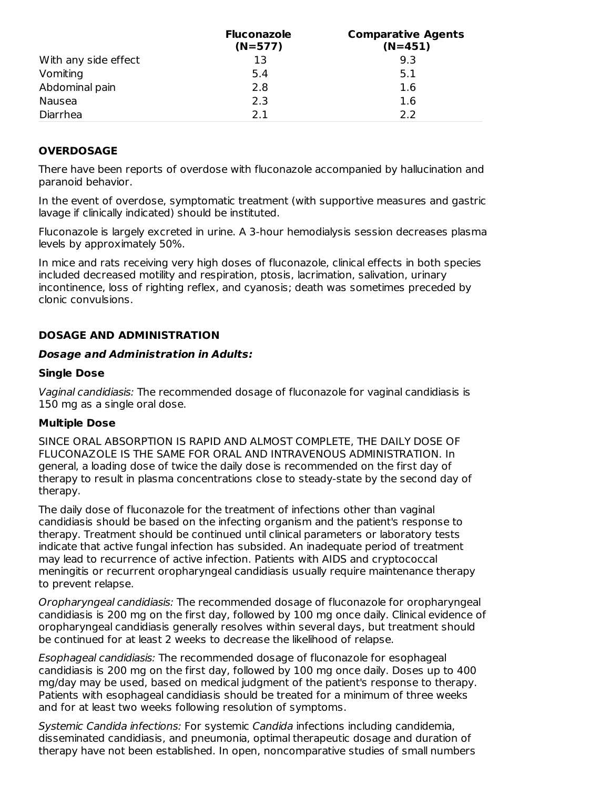|                      | <b>Fluconazole</b><br>$(N=577)$ | <b>Comparative Agents</b><br>$(N=451)$ |
|----------------------|---------------------------------|----------------------------------------|
| With any side effect | 13                              | 9.3                                    |
| Vomiting             | 5.4                             | 5.1                                    |
| Abdominal pain       | 2.8                             | 1.6                                    |
| Nausea               | 2.3                             | 1.6                                    |
| Diarrhea             | 21                              | 22                                     |

# **OVERDOSAGE**

There have been reports of overdose with fluconazole accompanied by hallucination and paranoid behavior.

In the event of overdose, symptomatic treatment (with supportive measures and gastric lavage if clinically indicated) should be instituted.

Fluconazole is largely excreted in urine. A 3-hour hemodialysis session decreases plasma levels by approximately 50%.

In mice and rats receiving very high doses of fluconazole, clinical effects in both species included decreased motility and respiration, ptosis, lacrimation, salivation, urinary incontinence, loss of righting reflex, and cyanosis; death was sometimes preceded by clonic convulsions.

### **DOSAGE AND ADMINISTRATION**

#### **Dosage and Administration in Adults:**

#### **Single Dose**

Vaginal candidiasis: The recommended dosage of fluconazole for vaginal candidiasis is 150 mg as a single oral dose.

#### **Multiple Dose**

SINCE ORAL ABSORPTION IS RAPID AND ALMOST COMPLETE, THE DAILY DOSE OF FLUCONAZOLE IS THE SAME FOR ORAL AND INTRAVENOUS ADMINISTRATION. In general, a loading dose of twice the daily dose is recommended on the first day of therapy to result in plasma concentrations close to steady-state by the second day of therapy.

The daily dose of fluconazole for the treatment of infections other than vaginal candidiasis should be based on the infecting organism and the patient's response to therapy. Treatment should be continued until clinical parameters or laboratory tests indicate that active fungal infection has subsided. An inadequate period of treatment may lead to recurrence of active infection. Patients with AIDS and cryptococcal meningitis or recurrent oropharyngeal candidiasis usually require maintenance therapy to prevent relapse.

Oropharyngeal candidiasis: The recommended dosage of fluconazole for oropharyngeal candidiasis is 200 mg on the first day, followed by 100 mg once daily. Clinical evidence of oropharyngeal candidiasis generally resolves within several days, but treatment should be continued for at least 2 weeks to decrease the likelihood of relapse.

Esophageal candidiasis: The recommended dosage of fluconazole for esophageal candidiasis is 200 mg on the first day, followed by 100 mg once daily. Doses up to 400 mg/day may be used, based on medical judgment of the patient's response to therapy. Patients with esophageal candidiasis should be treated for a minimum of three weeks and for at least two weeks following resolution of symptoms.

Systemic Candida infections: For systemic Candida infections including candidemia, disseminated candidiasis, and pneumonia, optimal therapeutic dosage and duration of therapy have not been established. In open, noncomparative studies of small numbers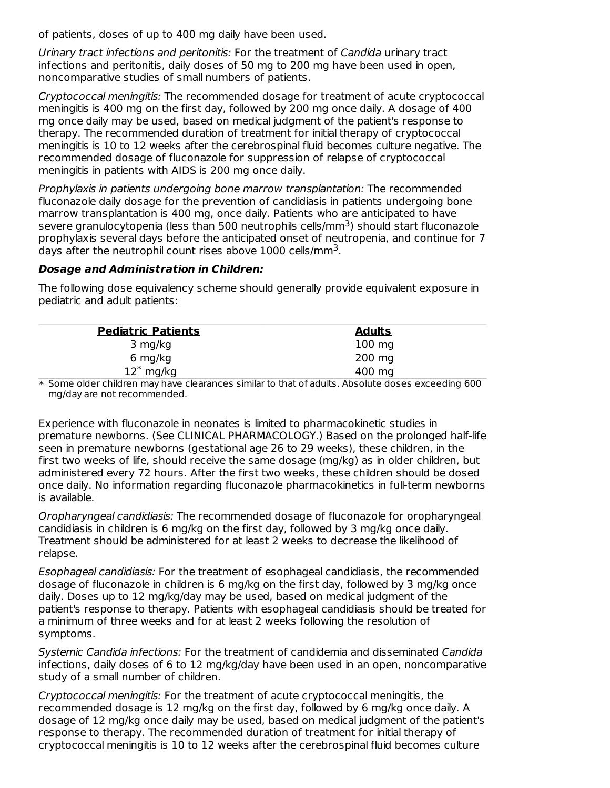of patients, doses of up to 400 mg daily have been used.

Urinary tract infections and peritonitis: For the treatment of Candida urinary tract infections and peritonitis, daily doses of 50 mg to 200 mg have been used in open, noncomparative studies of small numbers of patients.

Cryptococcal meningitis: The recommended dosage for treatment of acute cryptococcal meningitis is 400 mg on the first day, followed by 200 mg once daily. A dosage of 400 mg once daily may be used, based on medical judgment of the patient's response to therapy. The recommended duration of treatment for initial therapy of cryptococcal meningitis is 10 to 12 weeks after the cerebrospinal fluid becomes culture negative. The recommended dosage of fluconazole for suppression of relapse of cryptococcal meningitis in patients with AIDS is 200 mg once daily.

Prophylaxis in patients undergoing bone marrow transplantation: The recommended fluconazole daily dosage for the prevention of candidiasis in patients undergoing bone marrow transplantation is 400 mg, once daily. Patients who are anticipated to have severe granulocytopenia (less than 500 neutrophils cells/mm<sup>3</sup>) should start fluconazole prophylaxis several days before the anticipated onset of neutropenia, and continue for 7 days after the neutrophil count rises above  $1000$  cells/mm<sup>3</sup>.

#### **Dosage and Administration in Children:**

The following dose equivalency scheme should generally provide equivalent exposure in pediatric and adult patients:

| <b>Pediatric Patients</b> | <b>Adults</b>    |  |
|---------------------------|------------------|--|
| 3 mg/kg                   | $100 \text{ mg}$ |  |
| 6 mg/kg                   | $200 \text{ mg}$ |  |
| $12^*$ mg/kg              | 400 mg           |  |

\* Some older children may have clearances similar to that of adults. Absolute doses exceeding 600 mg/day are not recommended.

Experience with fluconazole in neonates is limited to pharmacokinetic studies in premature newborns. (See CLINICAL PHARMACOLOGY.) Based on the prolonged half-life seen in premature newborns (gestational age 26 to 29 weeks), these children, in the first two weeks of life, should receive the same dosage (mg/kg) as in older children, but administered every 72 hours. After the first two weeks, these children should be dosed once daily. No information regarding fluconazole pharmacokinetics in full-term newborns is available.

Oropharyngeal candidiasis: The recommended dosage of fluconazole for oropharyngeal candidiasis in children is 6 mg/kg on the first day, followed by 3 mg/kg once daily. Treatment should be administered for at least 2 weeks to decrease the likelihood of relapse.

Esophageal candidiasis: For the treatment of esophageal candidiasis, the recommended dosage of fluconazole in children is 6 mg/kg on the first day, followed by 3 mg/kg once daily. Doses up to 12 mg/kg/day may be used, based on medical judgment of the patient's response to therapy. Patients with esophageal candidiasis should be treated for a minimum of three weeks and for at least 2 weeks following the resolution of symptoms.

Systemic Candida infections: For the treatment of candidemia and disseminated Candida infections, daily doses of 6 to 12 mg/kg/day have been used in an open, noncomparative study of a small number of children.

Cryptococcal meningitis: For the treatment of acute cryptococcal meningitis, the recommended dosage is 12 mg/kg on the first day, followed by 6 mg/kg once daily. A dosage of 12 mg/kg once daily may be used, based on medical judgment of the patient's response to therapy. The recommended duration of treatment for initial therapy of cryptococcal meningitis is 10 to 12 weeks after the cerebrospinal fluid becomes culture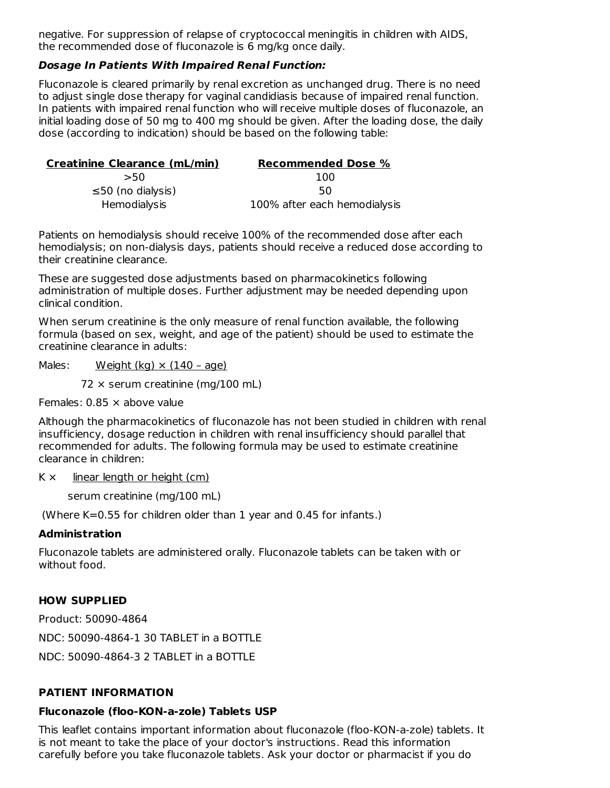negative. For suppression of relapse of cryptococcal meningitis in children with AIDS, the recommended dose of fluconazole is 6 mg/kg once daily.

### **Dosage In Patients With Impaired Renal Function:**

Fluconazole is cleared primarily by renal excretion as unchanged drug. There is no need to adjust single dose therapy for vaginal candidiasis because of impaired renal function. In patients with impaired renal function who will receive multiple doses of fluconazole, an initial loading dose of 50 mg to 400 mg should be given. After the loading dose, the daily dose (according to indication) should be based on the following table:

| <b>Creatinine Clearance (mL/min)</b> | <b>Recommended Dose %</b>    |
|--------------------------------------|------------------------------|
| >50                                  | 100                          |
| $\leq$ 50 (no dialysis)              | 50                           |
| Hemodialysis                         | 100% after each hemodialysis |

Patients on hemodialysis should receive 100% of the recommended dose after each hemodialysis; on non-dialysis days, patients should receive a reduced dose according to their creatinine clearance.

These are suggested dose adjustments based on pharmacokinetics following administration of multiple doses. Further adjustment may be needed depending upon clinical condition.

When serum creatinine is the only measure of renal function available, the following formula (based on sex, weight, and age of the patient) should be used to estimate the creatinine clearance in adults:

Males: Weight (kg)  $\times$  (140 - age)

 $72 \times$  serum creatinine (mg/100 mL)

Females: 0.85 × above value

Although the pharmacokinetics of fluconazole has not been studied in children with renal insufficiency, dosage reduction in children with renal insufficiency should parallel that recommended for adults. The following formula may be used to estimate creatinine clearance in children:

### $K \times$  linear length or height (cm)

serum creatinine (mg/100 mL)

(Where K=0.55 for children older than 1 year and 0.45 for infants.)

### **Administration**

Fluconazole tablets are administered orally. Fluconazole tablets can be taken with or without food.

# **HOW SUPPLIED**

Product: 50090-4864 NDC: 50090-4864-1 30 TABLET in a BOTTLE NDC: 50090-4864-3 2 TABLET in a BOTTLE

# **PATIENT INFORMATION**

### **Fluconazole (floo-KON-a-zole) Tablets USP**

This leaflet contains important information about fluconazole (floo-KON-a-zole) tablets. It is not meant to take the place of your doctor's instructions. Read this information carefully before you take fluconazole tablets. Ask your doctor or pharmacist if you do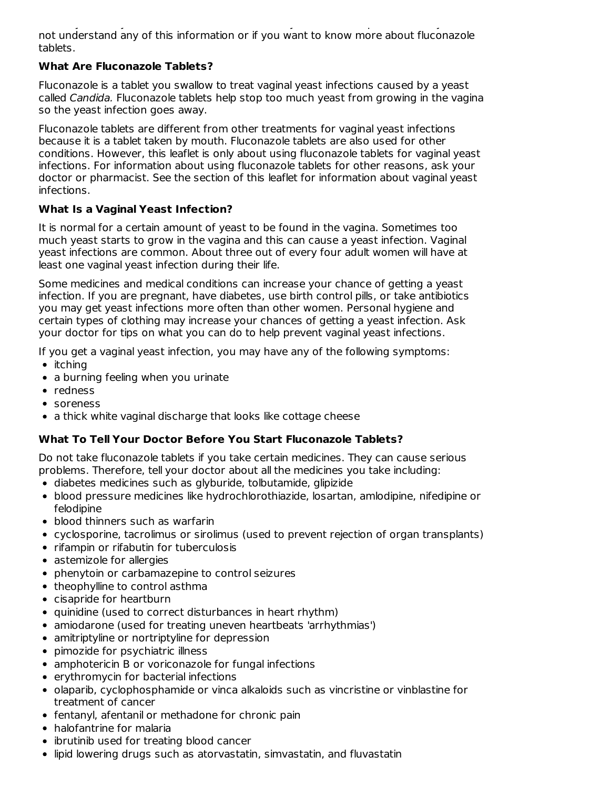carefully before you take fluconazole tablets. Ask your doctor or pharmacist if you do not understand any of this information or if you want to know more about fluconazole tablets.

# **What Are Fluconazole Tablets?**

Fluconazole is a tablet you swallow to treat vaginal yeast infections caused by a yeast called Candida. Fluconazole tablets help stop too much yeast from growing in the vagina so the yeast infection goes away.

Fluconazole tablets are different from other treatments for vaginal yeast infections because it is a tablet taken by mouth. Fluconazole tablets are also used for other conditions. However, this leaflet is only about using fluconazole tablets for vaginal yeast infections. For information about using fluconazole tablets for other reasons, ask your doctor or pharmacist. See the section of this leaflet for information about vaginal yeast infections.

# **What Is a Vaginal Yeast Infection?**

It is normal for a certain amount of yeast to be found in the vagina. Sometimes too much yeast starts to grow in the vagina and this can cause a yeast infection. Vaginal yeast infections are common. About three out of every four adult women will have at least one vaginal yeast infection during their life.

Some medicines and medical conditions can increase your chance of getting a yeast infection. If you are pregnant, have diabetes, use birth control pills, or take antibiotics you may get yeast infections more often than other women. Personal hygiene and certain types of clothing may increase your chances of getting a yeast infection. Ask your doctor for tips on what you can do to help prevent vaginal yeast infections.

If you get a vaginal yeast infection, you may have any of the following symptoms:

- $\bullet$  itching
- a burning feeling when you urinate
- redness
- soreness
- a thick white vaginal discharge that looks like cottage cheese

# **What To Tell Your Doctor Before You Start Fluconazole Tablets?**

Do not take fluconazole tablets if you take certain medicines. They can cause serious problems. Therefore, tell your doctor about all the medicines you take including:

- diabetes medicines such as glyburide, tolbutamide, glipizide
- blood pressure medicines like hydrochlorothiazide, losartan, amlodipine, nifedipine or felodipine
- blood thinners such as warfarin
- cyclosporine, tacrolimus or sirolimus (used to prevent rejection of organ transplants)
- rifampin or rifabutin for tuberculosis
- astemizole for allergies
- phenytoin or carbamazepine to control seizures
- theophylline to control asthma
- cisapride for heartburn
- quinidine (used to correct disturbances in heart rhythm)
- amiodarone (used for treating uneven heartbeats 'arrhythmias')
- amitriptyline or nortriptyline for depression
- pimozide for psychiatric illness
- amphotericin B or voriconazole for fungal infections
- erythromycin for bacterial infections
- olaparib, cyclophosphamide or vinca alkaloids such as vincristine or vinblastine for treatment of cancer
- fentanyl, afentanil or methadone for chronic pain
- halofantrine for malaria
- ibrutinib used for treating blood cancer
- lipid lowering drugs such as atorvastatin, simvastatin, and fluvastatin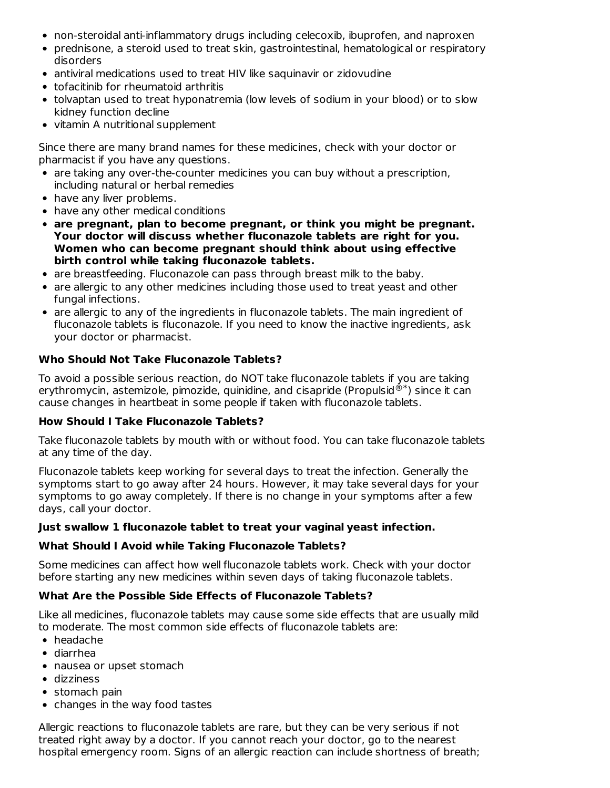- non-steroidal anti-inflammatory drugs including celecoxib, ibuprofen, and naproxen
- prednisone, a steroid used to treat skin, gastrointestinal, hematological or respiratory disorders
- antiviral medications used to treat HIV like saquinavir or zidovudine
- tofacitinib for rheumatoid arthritis
- tolvaptan used to treat hyponatremia (low levels of sodium in your blood) or to slow kidney function decline
- vitamin A nutritional supplement

Since there are many brand names for these medicines, check with your doctor or pharmacist if you have any questions.

- are taking any over-the-counter medicines you can buy without a prescription, including natural or herbal remedies
- have any liver problems.
- have any other medical conditions
- **are pregnant, plan to become pregnant, or think you might be pregnant. Your doctor will discuss whether fluconazole tablets are right for you. Women who can become pregnant should think about using effective birth control while taking fluconazole tablets.**
- are breastfeeding. Fluconazole can pass through breast milk to the baby.
- are allergic to any other medicines including those used to treat yeast and other fungal infections.
- are allergic to any of the ingredients in fluconazole tablets. The main ingredient of fluconazole tablets is fluconazole. If you need to know the inactive ingredients, ask your doctor or pharmacist.

# **Who Should Not Take Fluconazole Tablets?**

To avoid a possible serious reaction, do NOT take fluconazole tablets if you are taking erythromycin, astemizole, pimozide, quinidine, and cisapride (Propulsid $^{\circledR^*}$ ) since it can cause changes in heartbeat in some people if taken with fluconazole tablets.

### **How Should I Take Fluconazole Tablets?**

Take fluconazole tablets by mouth with or without food. You can take fluconazole tablets at any time of the day.

Fluconazole tablets keep working for several days to treat the infection. Generally the symptoms start to go away after 24 hours. However, it may take several days for your symptoms to go away completely. If there is no change in your symptoms after a few days, call your doctor.

### **Just swallow 1 fluconazole tablet to treat your vaginal yeast infection.**

### **What Should I Avoid while Taking Fluconazole Tablets?**

Some medicines can affect how well fluconazole tablets work. Check with your doctor before starting any new medicines within seven days of taking fluconazole tablets.

# **What Are the Possible Side Effects of Fluconazole Tablets?**

Like all medicines, fluconazole tablets may cause some side effects that are usually mild to moderate. The most common side effects of fluconazole tablets are:

- headache
- diarrhea
- nausea or upset stomach
- dizziness
- stomach pain
- changes in the way food tastes

Allergic reactions to fluconazole tablets are rare, but they can be very serious if not treated right away by a doctor. If you cannot reach your doctor, go to the nearest hospital emergency room. Signs of an allergic reaction can include shortness of breath;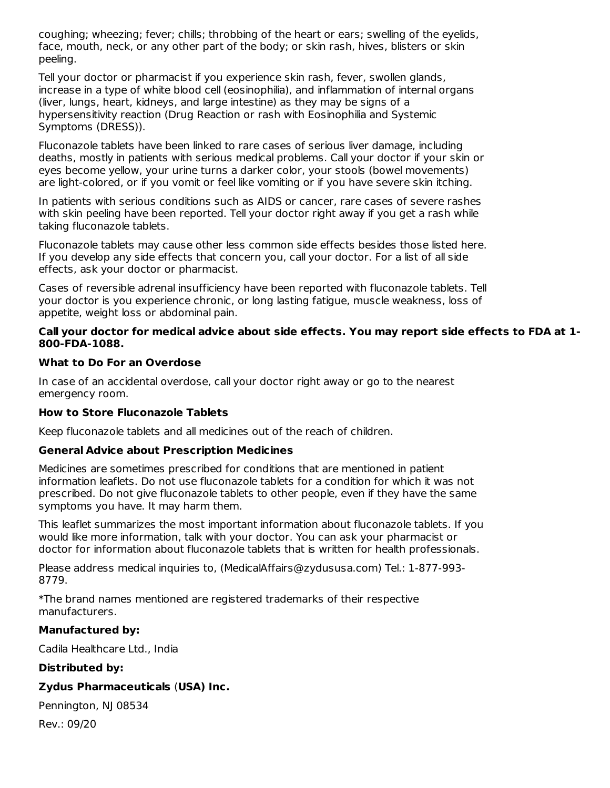coughing; wheezing; fever; chills; throbbing of the heart or ears; swelling of the eyelids, face, mouth, neck, or any other part of the body; or skin rash, hives, blisters or skin peeling.

Tell your doctor or pharmacist if you experience skin rash, fever, swollen glands, increase in a type of white blood cell (eosinophilia), and inflammation of internal organs (liver, lungs, heart, kidneys, and large intestine) as they may be signs of a hypersensitivity reaction (Drug Reaction or rash with Eosinophilia and Systemic Symptoms (DRESS)).

Fluconazole tablets have been linked to rare cases of serious liver damage, including deaths, mostly in patients with serious medical problems. Call your doctor if your skin or eyes become yellow, your urine turns a darker color, your stools (bowel movements) are light-colored, or if you vomit or feel like vomiting or if you have severe skin itching.

In patients with serious conditions such as AIDS or cancer, rare cases of severe rashes with skin peeling have been reported. Tell your doctor right away if you get a rash while taking fluconazole tablets.

Fluconazole tablets may cause other less common side effects besides those listed here. If you develop any side effects that concern you, call your doctor. For a list of all side effects, ask your doctor or pharmacist.

Cases of reversible adrenal insufficiency have been reported with fluconazole tablets. Tell your doctor is you experience chronic, or long lasting fatigue, muscle weakness, loss of appetite, weight loss or abdominal pain.

### **Call your doctor for medical advice about side effects. You may report side effects to FDA at 1- 800-FDA-1088.**

### **What to Do For an Overdose**

In case of an accidental overdose, call your doctor right away or go to the nearest emergency room.

# **How to Store Fluconazole Tablets**

Keep fluconazole tablets and all medicines out of the reach of children.

# **General Advice about Prescription Medicines**

Medicines are sometimes prescribed for conditions that are mentioned in patient information leaflets. Do not use fluconazole tablets for a condition for which it was not prescribed. Do not give fluconazole tablets to other people, even if they have the same symptoms you have. It may harm them.

This leaflet summarizes the most important information about fluconazole tablets. If you would like more information, talk with your doctor. You can ask your pharmacist or doctor for information about fluconazole tablets that is written for health professionals.

Please address medical inquiries to, (MedicalAffairs@zydususa.com) Tel.: 1-877-993- 8779.

\*The brand names mentioned are registered trademarks of their respective manufacturers.

# **Manufactured by:**

Cadila Healthcare Ltd., India

### **Distributed by:**

# **Zydus Pharmaceuticals** (**USA) Inc.**

Pennington, NJ 08534

Rev.: 09/20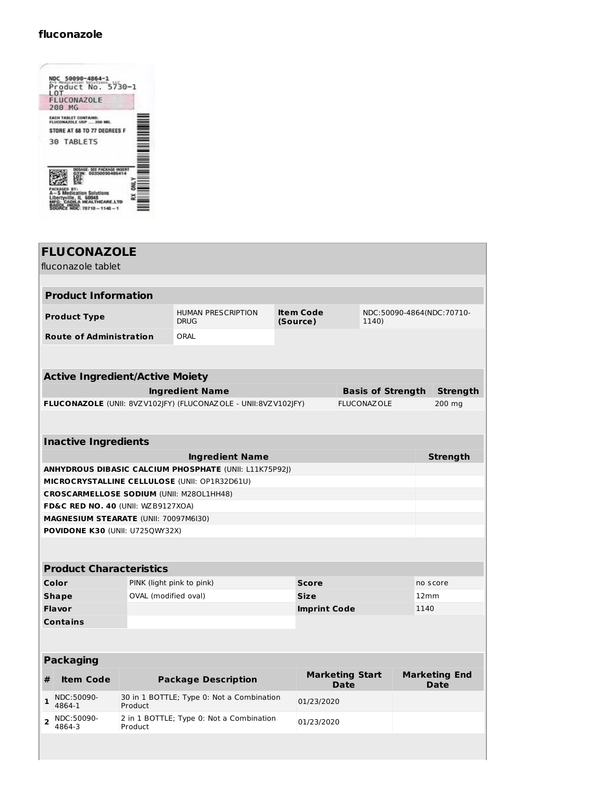# **fluconazole**

L

| LOT<br><b>FLUCONAZOLE</b><br>200 MG<br><b>EACH TABLET CONTAINS:</b><br>FLUCONAZOLE USP  200 MG.<br>STORE AT 68 TO 77 DEGREES F<br><b>30 TABLETS</b> | <b>DOCKFUMMENT</b> |  |                       | NDC 50090-4864-1<br>^^ Medicate 5464-1<br>Product No. 5730-1 |  |
|-----------------------------------------------------------------------------------------------------------------------------------------------------|--------------------|--|-----------------------|--------------------------------------------------------------|--|
|                                                                                                                                                     |                    |  |                       |                                                              |  |
|                                                                                                                                                     |                    |  |                       |                                                              |  |
|                                                                                                                                                     |                    |  |                       |                                                              |  |
|                                                                                                                                                     |                    |  |                       |                                                              |  |
| fication Solutions<br>≋<br>e. IL 60048                                                                                                              |                    |  | <b>HEALTHCARE LTD</b> |                                                              |  |

|                | <b>FLUCONAZOLE</b><br>fluconazole tablet        |                           |                                                                |                              |                                |                          |                                     |
|----------------|-------------------------------------------------|---------------------------|----------------------------------------------------------------|------------------------------|--------------------------------|--------------------------|-------------------------------------|
|                | <b>Product Information</b>                      |                           |                                                                |                              |                                |                          |                                     |
|                | <b>Product Type</b>                             |                           | <b>HUMAN PRESCRIPTION</b><br><b>DRUG</b>                       | <b>Item Code</b><br>(Source) |                                | 1140)                    | NDC:50090-4864(NDC:70710-           |
|                | <b>Route of Administration</b>                  |                           | ORAL                                                           |                              |                                |                          |                                     |
|                | <b>Active Ingredient/Active Moiety</b>          |                           |                                                                |                              |                                |                          |                                     |
|                |                                                 |                           | <b>Ingredient Name</b>                                         |                              |                                | <b>Basis of Strength</b> | <b>Strength</b>                     |
|                |                                                 |                           | FLUCONAZOLE (UNII: 8VZV102JFY) (FLUCONAZOLE - UNII:8VZV102JFY) |                              | <b>FLUCONAZOLE</b>             |                          | 200 mg                              |
|                |                                                 |                           |                                                                |                              |                                |                          |                                     |
|                | <b>Inactive Ingredients</b>                     |                           |                                                                |                              |                                |                          |                                     |
|                |                                                 |                           | <b>Ingredient Name</b>                                         |                              |                                |                          | <b>Strength</b>                     |
|                |                                                 |                           | <b>ANHYDROUS DIBASIC CALCIUM PHOSPHATE (UNII: L11K75P92J)</b>  |                              |                                |                          |                                     |
|                |                                                 |                           | MICROCRYSTALLINE CELLULOSE (UNII: OP1R32D61U)                  |                              |                                |                          |                                     |
|                | <b>CROSCARMELLOSE SODIUM (UNII: M28OL1HH48)</b> |                           |                                                                |                              |                                |                          |                                     |
|                | <b>FD&amp;C RED NO. 40 (UNII: WZB9127XOA)</b>   |                           |                                                                |                              |                                |                          |                                     |
|                | MAGNESIUM STEARATE (UNII: 70097M6I30)           |                           |                                                                |                              |                                |                          |                                     |
|                | POVIDONE K30 (UNII: U725QWY32X)                 |                           |                                                                |                              |                                |                          |                                     |
|                |                                                 |                           |                                                                |                              |                                |                          |                                     |
|                | <b>Product Characteristics</b>                  |                           |                                                                |                              |                                |                          |                                     |
|                | Color                                           | PINK (light pink to pink) |                                                                | <b>Score</b>                 |                                |                          | no score                            |
|                | <b>Shape</b>                                    | OVAL (modified oval)      |                                                                | <b>Size</b>                  |                                |                          | 12mm                                |
|                | Flavor                                          |                           |                                                                | <b>Imprint Code</b>          |                                |                          | 1140                                |
|                | <b>Contains</b>                                 |                           |                                                                |                              |                                |                          |                                     |
|                |                                                 |                           |                                                                |                              |                                |                          |                                     |
|                | <b>Packaging</b>                                |                           |                                                                |                              |                                |                          |                                     |
| #              | <b>Item Code</b>                                |                           | <b>Package Description</b>                                     |                              | <b>Marketing Start</b><br>Date |                          | <b>Marketing End</b><br><b>Date</b> |
| 1              | NDC:50090-<br>4864-1                            | Product                   | 30 in 1 BOTTLE; Type 0: Not a Combination                      | 01/23/2020                   |                                |                          |                                     |
| $\overline{2}$ | NDC:50090-<br>4864-3                            | Product                   | 2 in 1 BOTTLE; Type 0: Not a Combination                       | 01/23/2020                   |                                |                          |                                     |
|                |                                                 |                           |                                                                |                              |                                |                          |                                     |